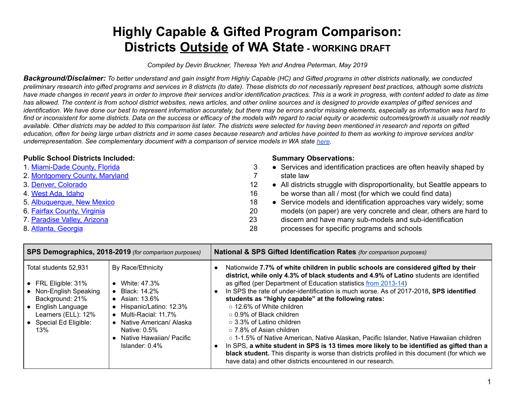# **Highly Capable & Gifted Program Comparison: Districts Outside of WA State - WORKING DRAFT**

 *Compiled by Devin Bruckner, Theresa Yeh and Andrea Peterman, May 2019*

Background/Disclaimer: To better understand and gain insight from Highly Capable (HC) and Gifted programs in other districts nationally, we conducted preliminary research into gifted programs and services in 8 districts (to date). These districts do not necessarily represent best practices, although some districts have made changes in recent years in order to improve their services and/or identification practices. This is a work in progress, with content added to date as time has allowed. The content is from school district websites, news articles, and other online sources and is designed to provide examples of gifted services and identification. We have done our best to represent information accurately, but there may be errors and/or missing elements, especially as information was hard to find or inconsistent for some districts. Data on the success or efficacy of the models with regard to racial equity or academic outcomes/growth is usually not readily available. Other districts may be added to this comparison list later. The districts were selected for having been mentioned in research and reports on gifted education, often for being large urban districts and in some cases because research and articles have pointed to them as working to improve services and/or  *underrepresentation. See complementary document with a comparison of service models in WA state [here](https://docs.google.com/document/d/1R_YasKFPVFaAwqj6ODGoaanmVg7elKrLbCeTbJTtVfs/edit).*

# **Public School Districts Included:**

- [1. Miami-Dade](#page-2-0) County, Florida
- [2. Montgomery](#page-6-0) County, Maryland
- [3.](#page-11-0) Denver, [Colorado](#page-11-0)
- [4.](#page-15-0) West Ada, [Idaho](#page-15-0)
- [5. Albuquerque,](#page-17-0) New Mexico
- [6.](#page-19-0) Fairfax [County,](#page-19-0) Virginia
- [7. Paradise](#page-22-0) Valley, Arizona
- [8.](#page-27-0) Atlanta, [Georgia](#page-27-0)

#### **Summary Observations:**

- 3 Services and identification practices are often heavily shaped by 7 state law
- [1](#page-11-0)2 All districts struggle with disproportionality, but Seattle appears to [1](#page-15-0)6 be worse than all / most (for which we could find data)
- [1](#page-17-0)8 Service models and identification approaches vary widely; some [2](#page-19-0)0 models (on paper) are very concrete and clear, others are hard to [2](#page-22-0)3 discern and have many sub-models and sub-identification [2](#page-27-0)8 processes for specific programs and schools

| SPS Demographics, 2018-2019 (for comparison purposes)                                                                                                                      |                                                                                                                                                                                                                | National & SPS Gifted Identification Rates (for comparison purposes)                                                                                                                                                                                                                                                                                                                                                                                                                                                                                                                                                                                                                                                                                                                                                                                                                         |  |
|----------------------------------------------------------------------------------------------------------------------------------------------------------------------------|----------------------------------------------------------------------------------------------------------------------------------------------------------------------------------------------------------------|----------------------------------------------------------------------------------------------------------------------------------------------------------------------------------------------------------------------------------------------------------------------------------------------------------------------------------------------------------------------------------------------------------------------------------------------------------------------------------------------------------------------------------------------------------------------------------------------------------------------------------------------------------------------------------------------------------------------------------------------------------------------------------------------------------------------------------------------------------------------------------------------|--|
| Total students 52,931<br>• FRL Eligible: $31\%$<br>• Non-English Speaking<br>Background: 21%<br>• English Language<br>Learners (ELL): 12%<br>• Special Ed Eligible:<br>13% | By Race/Ethnicity<br>White: 47.3%<br>Black: 14.2%<br>Asian: 13.6%<br>Hispanic/Latino: 12.3%<br>Multi-Racial: 11.7%<br>Native American/ Alaska<br>Native: 0.5%<br>Native Hawaiian/ Pacific<br>Islander: $0.4\%$ | Nationwide 7.7% of white children in public schools are considered gifted by their<br>district, while only 4.3% of black students and 4.9% of Latino students are identified<br>as gifted (per Department of Education statistics from 2013-14)<br>In SPS the rate of under-identification is much worse. As of 2017-2018, SPS identified<br>students as "highly capable" at the following rates:<br>$\circ$ 12.6% of White children<br>$\circ$ 0.9% of Black children<br>$\circ$ 3.3% of Latino children<br>○ 7.8% of Asian children<br>○ 1-1.5% of Native American, Native Alaskan, Pacific Islander, Native Hawaiian children<br>In SPS, a white student in SPS is 13 times more likely to be identified as gifted than a<br>black student. This disparity is worse than districts profiled in this document (for which we<br>have data) and other districts encountered in our research. |  |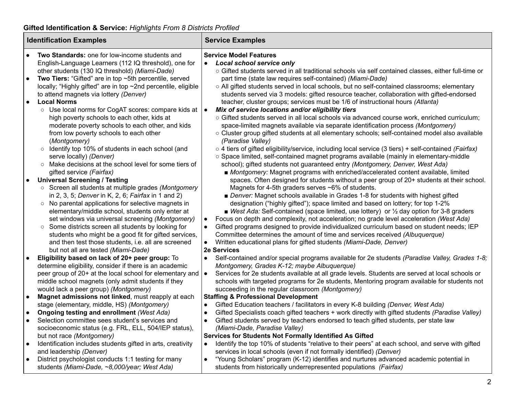# **Gifted Identification & Service:** *Highlights From 8 Districts Profiled*

| <b>Identification Examples</b> |                                                                                                              | <b>Service Examples</b>                                                                                                                                                                  |  |  |
|--------------------------------|--------------------------------------------------------------------------------------------------------------|------------------------------------------------------------------------------------------------------------------------------------------------------------------------------------------|--|--|
| $\bullet$                      | Two Standards: one for low-income students and<br>English-Language Learners (112 IQ threshold), one for      | <b>Service Model Features</b><br><b>Local school service only</b><br>$\bullet$                                                                                                           |  |  |
|                                | other students (130 IQ threshold) (Miami-Dade)                                                               | ○ Gifted students served in all traditional schools via self contained classes, either full-time or                                                                                      |  |  |
| $\bullet$                      | Two Tiers: "Gifted" are in top ~5th percentile, served                                                       | part time (state law requires self-contained) (Miami-Dade)                                                                                                                               |  |  |
|                                | locally; "Highly gifted" are in top ~2nd percentile, eligible<br>to attend magnets via lottery (Denver)      | o All gifted students served in local schools, but no self-contained classrooms; elementary<br>students served via 3 models: gifted resource teacher, collaboration with gifted-endorsed |  |  |
| $\bullet$                      | <b>Local Norms</b>                                                                                           | teacher, cluster groups; services must be 1/6 of instructional hours (Atlanta)                                                                                                           |  |  |
|                                | ○ Use local norms for CogAT scores: compare kids at  ●                                                       | Mix of service locations and/or eligibility tiers                                                                                                                                        |  |  |
|                                | high poverty schools to each other, kids at                                                                  | o Gifted students served in all local schools via advanced course work, enriched curriculum;                                                                                             |  |  |
|                                | moderate poverty schools to each other, and kids                                                             | space-limited magnets available via separate identification process (Montgomery)                                                                                                         |  |  |
|                                | from low poverty schools to each other                                                                       | o Cluster group gifted students at all elementary schools; self-contained model also available                                                                                           |  |  |
|                                | (Montgomery)                                                                                                 | (Paradise Valley)                                                                                                                                                                        |  |  |
|                                | o Identify top 10% of students in each school (and                                                           | $\circ$ 4 tiers of gifted eligibility/service, including local service (3 tiers) + self-contained (Fairfax)                                                                              |  |  |
|                                | serve locally) (Denver)<br>○ Make decisions at the school level for some tiers of                            | ○ Space limited, self-contained magnet programs available (mainly in elementary-middle<br>school); gifted students not guaranteed entry (Montgomery, Denver, West Ada)                   |  |  |
|                                | gifted service (Fairfax)                                                                                     | ■ Montgomery: Magnet programs with enriched/accelerated content available, limited                                                                                                       |  |  |
| $\bullet$                      | <b>Universal Screening / Testing</b>                                                                         | spaces. Often designed for students without a peer group of 20+ students at their school.                                                                                                |  |  |
|                                | ○ Screen all students at multiple grades (Montgomery                                                         | Magnets for 4-5th graders serves ~6% of students.                                                                                                                                        |  |  |
|                                | in 2, 3, 5; Denver in K, 2, 6; Fairfax in 1 and 2)                                                           | ■ Denver: Magnet schools available in Grades 1-8 for students with highest gifted                                                                                                        |  |  |
|                                | ○ No parental applications for selective magnets in                                                          | designation ("highly gifted"); space limited and based on lottery; for top 1-2%                                                                                                          |  |  |
|                                | elementary/middle school, students only enter at                                                             | • West Ada: Self-contained (space limited, use lottery) or $\frac{1}{2}$ day option for 3-8 graders                                                                                      |  |  |
|                                | set windows via universal screening (Montgomery)                                                             | Focus on depth and complexity, not acceleration; no grade level acceleration (West Ada)<br>$\bullet$                                                                                     |  |  |
|                                | ○ Some districts screen all students by looking for                                                          | Gifted programs designed to provide individualized curriculum based on student needs; IEP                                                                                                |  |  |
|                                | students who might be a good fit for gifted services,<br>and then test those students, i.e. all are screened | Committee determines the amount of time and services received (Albuquerque)<br>Written educational plans for gifted students (Miami-Dade, Denver)                                        |  |  |
|                                | but not all are tested (Miami-Dade)                                                                          | 2e Services                                                                                                                                                                              |  |  |
|                                | Eligibility based on lack of 20+ peer group: To                                                              | Self-contained and/or special programs available for 2e students (Paradise Valley, Grades 1-8;                                                                                           |  |  |
|                                | determine eligibility, consider if there is an academic                                                      | Montgomery, Grades K-12; maybe Albuquerque)                                                                                                                                              |  |  |
|                                | peer group of 20+ at the local school for elementary and $\bullet$                                           | Services for 2e students available at all grade levels. Students are served at local schools or                                                                                          |  |  |
|                                | middle school magnets (only admit students if they                                                           | schools with targeted programs for 2e students, Mentoring program available for students not                                                                                             |  |  |
|                                | would lack a peer group) (Montgomery)                                                                        | succeeding in the regular classroom (Montgomery)                                                                                                                                         |  |  |
| $\bullet$                      | Magnet admissions not linked, must reapply at each<br>stage (elementary, middle, HS) (Montgomery)            | <b>Staffing &amp; Professional Development</b><br>Gifted Education teachers / facilitators in every K-8 building (Denver, West Ada)<br>$\bullet$                                         |  |  |
| $\bullet$                      | Ongoing testing and enrollment (West Ada)                                                                    | Gifted Specialists coach gifted teachers + work directly with gifted students (Paradise Valley)<br>$\bullet$                                                                             |  |  |
| $\bullet$                      | Selection committee sees student's services and                                                              | Gifted students served by teachers endorsed to teach gifted students, per state law<br>$\bullet$                                                                                         |  |  |
|                                | socioeconomic status (e.g. FRL, ELL, 504/IEP status),                                                        | (Miami-Dade, Paradise Valley)                                                                                                                                                            |  |  |
|                                | but not race (Montgomery)                                                                                    | Services for Students Not Formally Identified As Gifted                                                                                                                                  |  |  |
|                                | Identification includes students gifted in arts, creativity                                                  | Identify the top 10% of students "relative to their peers" at each school, and serve with gifted<br>$\bullet$                                                                            |  |  |
|                                | and leadership (Denver)                                                                                      | services in local schools (even if not formally identified) (Denver)                                                                                                                     |  |  |
| $\bullet$                      | District psychologist conducts 1:1 testing for many                                                          | "Young Scholars" program (K-12) identifies and nurtures advanced academic potential in<br>$\bullet$                                                                                      |  |  |
|                                | students (Miami-Dade, ~8,000/year; West Ada)                                                                 | students from historically underrepresented populations (Fairfax)                                                                                                                        |  |  |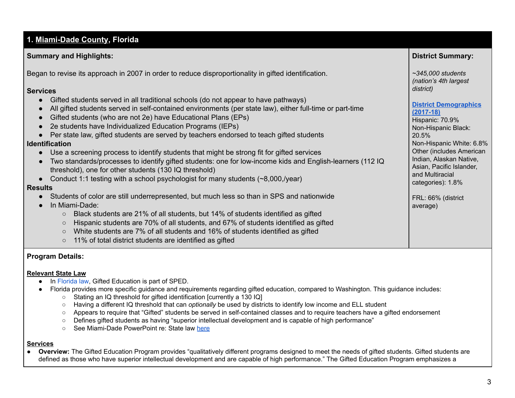# <span id="page-2-0"></span> **1. [Miami-Dade County](http://advancedacademicprograms.dadeschools.net/gifted.asp) , Florida**

### **Summary and Highlights:**

Began to revise its approach in 2007 in order to reduce disproportionality in gifted identification.

#### **Services**

- Gifted students served in all traditional schools (do not appear to have pathways)
- All gifted students served in self-contained environments (per state law), either full-time or part-time
- Gifted students (who are not 2e) have Educational Plans (EPs)
- 2e students have Individualized Education Programs (IEPs)
- Per state law, gifted students are served by teachers endorsed to teach gifted students

#### **Identification**

- Use a screening process to identify students that might be strong fit for gifted services
- Two standards/processes to identify gifted students: one for low-income kids and English-learners (112 IQ threshold), one for other students (130 IQ threshold)
- Conduct 1:1 testing with a school psychologist for many students (~8,000,/year)

#### **Results**

- Students of color are still underrepresented, but much less so than in SPS and nationwide
- In Miami-Dade:
	- $\circ$  Black students are 21% of all students, but 14% of students identified as gifted
	- $\circ$  Hispanic students are 70% of all students, and 67% of students identified as gifted
	- White students are 7% of all students and 16% of students identified as gifted
	- 11% of total district students are identified as gifted

#### **Program Details:**

#### **Relevant State Law**

- In [Florida](http://www.fldoe.org/academics/exceptional-student-edu/gifted-edu.stml) law, Gifted Education is part of SPED.
- ● Florida provides more specific guidance and requirements regarding gifted education, compared to Washington. This guidance includes:
	- Stating an IQ threshold for gifted identification [currently a 130 IQ]
	- Having a different IQ threshold that can *optionally* be used by districts to identify low income and ELL student
	- Appears to require that "Gifted" students be served in self-contained classes and to require teachers have a gifted endorsement
	- Defines gifted students as having "superior intellectual development and is capable of high performance"
	- See Miami-Dade PowerPoint re: State law [here](http://induction.dadeschools.net/Assistant%20Principal%20Induction%20Academy/File%20Sharing/files/Gifted%20Policies.pdf)

#### **Services**

● Overview: The Gifted Education Program provides "qualitatively different programs designed to meet the needs of gifted students. Gifted students are defined as those who have superior intellectual development and are capable of high performance." The Gifted Education Program emphasizes a

 **District Summary:**

 *~345,000 students (nation's 4th largest*

 Hispanic: 70.9% Non-Hispanic Black:

*district)*

**[\(2017-18\)](http://drs.dadeschools.net/StatisticalHighlights/SH1718.pdf)**

20.5%

 and Multiracial categories): 1.8%

average)

FRL: 66% (district

 Non-Hispanic White: 6.8% Other (includes American Indian, Alaskan Native, Asian, Pacific Islander,

**District [Demographics](http://drs.dadeschools.net/StatisticalHighlights/SH1718.pdf)**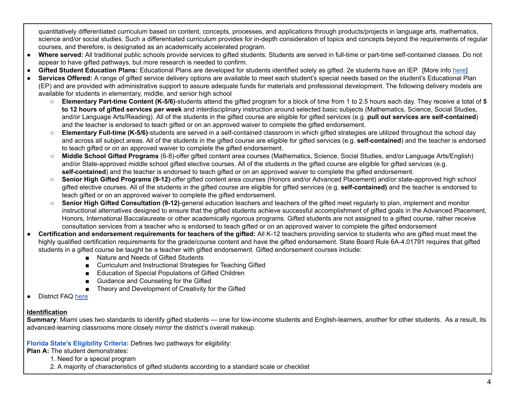quantitatively differentiated curriculum based on content, concepts, processes, and applications through products/projects in language arts, mathematics, science and/or social studies. Such a differentiated curriculum provides for in-depth consideration of topics and concepts beyond the requirements of regular courses, and therefore, is designated as an academically accelerated program.

- **Where served:** All traditional public schools provide services to gifted students. Students are served in full-time or part-time self-contained classes. Do not appear to have gifted pathways, but more research is needed to confirm.
- **Gifted Student Education Plans:** Educational Plans are developed for students identified solely as gifted. 2e students have an IEP. [More info [here](http://induction.dadeschools.net/Assistant%20Principal%20Induction%20Academy/File%20Sharing/files/Gifted%20Policies.pdf)]
- **Services Offered:** A range of gifted service delivery options are available to meet each student's special needs based on the student's Educational Plan (EP) and are provided with administrative support to assure adequate funds for materials and professional development. The following delivery models are available for students in elementary, middle, and senior high school
	- **Elementary Part-time Content (K-5/6)**-students attend the gifted program for a block of time from 1 to 2.5 hours each day. They receive a total of **5 to 12 hours of gifted services per week** and interdisciplinary instruction around selected basic subjects (Mathematics, Science, Social Studies, and/or Language Arts/Reading). All of the students in the gifted course are eligible for gifted services (e.g. **pull out services are self-contained**) and the teacher is endorsed to teach gifted or on an approved waiver to complete the gifted endorsement.
	- **Elementary Full-time (K-5/6)**-students are served in a self-contained classroom in which gifted strategies are utilized throughout the school day and across all subject areas. All of the students in the gifted course are eligible for gifted services (e.g. **self-contained**) and the teacher is endorsed to teach gifted or on an approved waiver to complete the gifted endorsement.
	- **Middle School Gifted Programs** (6-8)-offer gifted content area courses (Mathematics, Science, Social Studies, and/or Language Arts/English) and/or State-approved middle school gifted elective courses. All of the students in the gifted course are eligible for gifted services (e.g. **self-contained**) and the teacher is endorsed to teach gifted or on an approved waiver to complete the gifted endorsement.
	- **Senior High Gifted Programs (9-12)**-offer gifted content area courses (Honors and/or Advanced Placement) and/or state-approved high school gifted elective courses. All of the students in the gifted course are eligible for gifted services (e.g. **self-contained)** and the teacher is endorsed to teach gifted or on an approved waiver to complete the gifted endorsement.
	- **Senior High Gifted Consultation (9-12)**-general education teachers and teachers of the gifted meet regularly to plan, implement and monitor instructional alternatives designed to ensure that the gifted students achieve successful accomplishment of gifted goals in the Advanced Placement, Honors, International Baccalaureate or other academically rigorous programs. Gifted students are not assigned to a gifted course, rather receive consultation services from a teacher who is endorsed to teach gifted or on an approved waiver to complete the gifted endorsement
- Certification and endorsement requirements for teachers of the gifted: All K-12 teachers providing service to students who are gifted must meet the highly qualified certification requirements for the grade/course content and have the gifted endorsement. State Board Rule 6A-4.01791 requires that gifted students in a gifted course be taught be a teacher with gifted endorsement. Gifted endorsement courses include:
	- Nature and Needs of Gifted Students
	- Curriculum and Instructional Strategies for Teaching Gifted
	- Education of Special Populations of Gifted Children
	- Guidance and Counseling for the Gifted
	- Theory and Development of Creativity for the Gifted
- District FAQ [here](http://advancedacademicprograms.dadeschools.net/pdf/Gifted_QA.pdf)

# **Identification**

 **Summary**: Miami uses two standards to identify gifted students — one for low-income students and English-learners, another for other students. As a result, its advanced-learning classrooms more closely mirror the district's overall makeup.

 **Florida State's [Eligibility](https://www.flrules.org/gateway/ruleNo.asp?ID=6A-6.03019) Criteria:** Defines two pathways for eligibility:

 **Plan A:** The student demonstrates:

- 1. Need for a special program
- 2. A majority of characteristics of gifted students according to a standard scale or checklist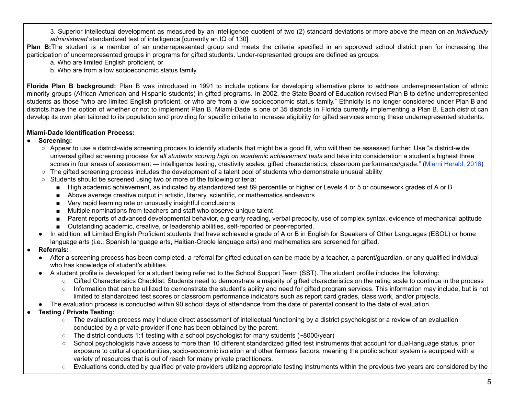3. Superior intellectual development as measured by an intelligence quotient of two (2) standard deviations or more above the mean on an *individually administered* standardized test of intelligence [currently an IQ of 130]

**Plan B:**The student is a member of an underrepresented group and meets the criteria specified in an approved school district plan for increasing the participation of underrepresented groups in programs for gifted students. Under-represented groups are defined as groups:

a. Who are limited English proficient, or

b. Who are from a low socioeconomic status family.

 **Florida Plan B background:** Plan B was introduced in 1991 to include options for developing alternative plans to address underrepresentation of ethnic minority groups (African American and Hispanic students) in gifted programs. In 2002, the State Board of Education revised Plan B to define underrepresented students as those "who are limited English proficient, or who are from a low socioeconomic status family." Ethnicity is no longer considered under Plan B and districts have the option of whether or not to implement Plan B. Miami-Dade is one of 35 districts in Florida currently implementing a Plan B. Each district can develop its own plan tailored to its population and providing for specific criteria to increase eligibility for gifted services among these underrepresented students.

# **Miami-Dade Identification Process:**

- **Screening:**
	- $\circ$  Appear to use a district-wide screening process to identify students that might be a good fit, who will then be assessed further. Use "a district-wide, universal gifted screening process *for all students scoring high on academic achievement tests* and take into consideration a student's highest three scores in four areas of assessment — intelligence testing, creativity scales, gifted characteristics, classroom performance/grade." (<u>Miami [Herald,](https://www.miamiherald.com/opinion/op-ed/article84021937.html) 2016</u>)
	- $\circ$  The gifted screening process includes the development of a talent pool of students who demonstrate unusual ability
	- Students should be screened using two or more of the following criteria:
		- High academic achievement, as indicated by standardized test 89 percentile or higher or Levels 4 or 5 or coursework grades of A or B
		- Above average creative output in artistic, literary, scientific, or mathematics endeavors
		- Very rapid learning rate or unusually insightful conclusions
		- Multiple nominations from teachers and staff who observe unique talent
		- Parent reports of advanced developmental behavior, e.g early reading, verbal precocity, use of complex syntax, evidence of mechanical aptitude
		- Outstanding academic, creative, or leadership abilities, self-reported or peer-reported.
	- In addition, all Limited English Proficient students that have achieved a grade of A or B in English for Speakers of Other Languages (ESOL) or home language arts (i.e., Spanish language arts, Haitian-Creole language arts) and mathematics are screened for gifted.
- **● Referrals:**
	- After a screening process has been completed, a referral for gifted education can be made by a teacher, a parent/guardian, or any qualified individual who has knowledge of student's abilities.
	- ● A student profile is developed for a student being referred to the School Support Team (SST). The student profile includes the following:
		- Gifted Characteristics Checklist: Students need to demonstrate a majority of gifted characteristics on the rating scale to continue in the process
		- Information that can be utilized to demonstrate the student's ability and need for gifted program services. This information may include, but is not limited to standardized test scores or classroom performance indicators such as report card grades, class work, and/or projects.
	- The evaluation process is conducted within 90 school days of attendance from the date of parental consent to the date of evaluation.

# ● **Testing / Private Testing:**

- The evaluation process may include direct assessment of intellectual functioning by a district psychologist or a review of an evaluation conducted by a private provider if one has been obtained by the parent.
- The district conducts 1:1 testing with a school psychologist for many students (~8000/year)
- School psychologists have access to more than 10 different standardized gifted test instruments that account for dual-language status, prior exposure to cultural opportunities, socio-economic isolation and other fairness factors, meaning the public school system is equipped with a variety of resources that is out of reach for many private practitioners.
- Evaluations conducted by qualified private providers utilizing appropriate testing instruments within the previous two years are considered by the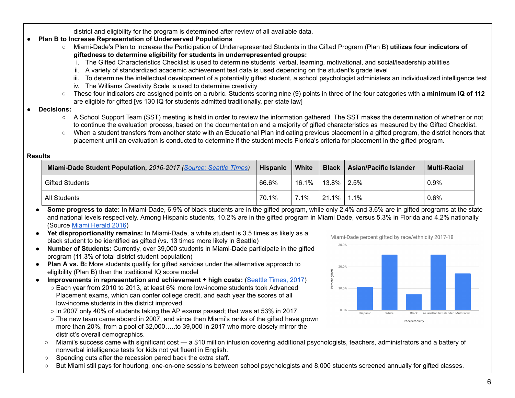district and eligibility for the program is determined after review of all available data.

# ● **Plan B to Increase Representation of Underserved Populations**

- ○ Miami-Dade's Plan to Increase the Participation of Underrepresented Students in the Gifted Program (Plan B) **utilizes four indicators of giftedness to determine eligibility for students in underrepresented groups:**
	- i. The Gifted Characteristics Checklist is used to determine students' verbal, learning, motivational, and social/leadership abilities
	- ii. A variety of standardized academic achievement test data is used depending on the student's grade level
	- iii. To determine the intellectual development of a potentially gifted student, a school psychologist administers an individualized intelligence test
	- iv. The Williams Creativity Scale is used to determine creativity
- ○ These four indicators are assigned points on a rubric. Students scoring nine (9) points in three of the four categories with a **minimum IQ of 112** are eligible for gifted [vs 130 IQ for students admitted traditionally, per state law]
- Decisions:
	- A School Support Team (SST) meeting is held in order to review the information gathered. The SST makes the determination of whether or not to continue the evaluation process, based on the documentation and a majority of gifted characteristics as measured by the Gifted Checklist.
	- When a student transfers from another state with an Educational Plan indicating previous placement in a gifted program, the district honors that placement until an evaluation is conducted to determine if the student meets Florida's criteria for placement in the gifted program.

| <b>Results</b> |                                                                  |          |         |                |                               |                     |
|----------------|------------------------------------------------------------------|----------|---------|----------------|-------------------------------|---------------------|
|                | Miami-Dade Student Population, 2016-2017 (Source: Seattle Times) | Hispanic | White   | <b>Black</b>   | <b>Asian/Pacific Islander</b> | <b>Multi-Racial</b> |
|                | <b>Gifted Students</b>                                           | 66.6%    | 16.1%   | $13.8\%$ 2.5%  |                               | 0.9%                |
|                | All Students                                                     | 70.1%    | $7.1\%$ | $121.1\%$ 1.1% |                               | 0.6%                |

 ● **Some progress to date:** In Miami-Dade, 6.9% of black students are in the gifted program, while only 2.4% and 3.6% are in gifted programs at the state and national levels respectively. Among Hispanic students, 10.2% are in the gifted program in Miami Dade, versus 5.3% in Florida and 4.2% nationally (Source Miami [Herald](https://www.miamiherald.com/opinion/op-ed/article84021937.html#storylink=cpy) 2016)

- **Yet disproportionality remains:** In Miami-Dade, a white student is 3.5 times as likely as a black student to be identified as gifted (vs. 13 times more likely in Seattle)
- **Number of Students:** Currently, over 39,000 students in Miami-Dade participate in the gifted program (11.3% of total district student population)
- **Plan A vs. B:** More students qualify for gifted services under the alternative approach to eligibility (Plan B) than the traditional IQ score model
- **Improvements in representation and achievement + high costs:** ([Seattle](https://www.seattletimes.com/education-lab/the-push-to-find-more-gifted-kids-what-washington-can-learn-from-miamis-wins/?fbclid=IwAR2Tlmt0IEDfbDvGW56yUdV7eZueJsLEx_x48aCeKb4kiK-AAPM5_T5q8Mg) Times, 2017)
	- $\circ$  Each year from 2010 to 2013, at least 6% more low-income students took Advanced Placement exams, which can confer college credit, and each year the scores of all low-income students in the district improved.
	- $\circ$  In 2007 only 40% of students taking the AP exams passed; that was at 53% in 2017.
	- $\circ$  The new team came aboard in 2007, and since then Miami's ranks of the gifted have grown more than 20%, from a pool of 32,000…..to 39,000 in 2017 who more closely mirror the district's overall demographics.
	- Miami's success came with significant cost a \$10 million infusion covering additional psychologists, teachers, administrators and a battery of nonverbal intelligence tests for kids not yet fluent in English.
	- Spending cuts after the recession pared back the extra staff.
	- But Miami still pays for hourlong, one-on-one sessions between school psychologists and 8,000 students screened annually for gifted classes.



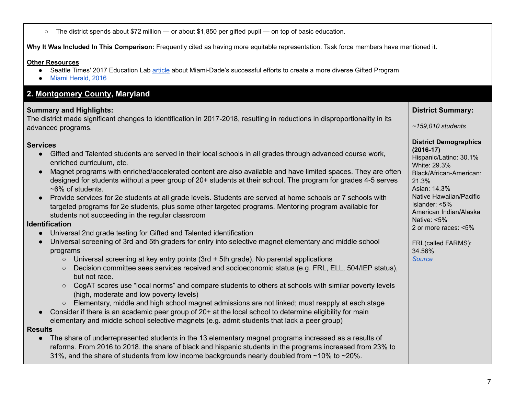$\circ$  The district spends about \$72 million — or about \$1,850 per gifted pupil — on top of basic education.

 **Why It Was Included In This Comparison:** Frequently cited as having more equitable representation. Task force members have mentioned it.

#### **Other Resources**

- Seattle Times' 2017 Education Lab [article](https://www.seattletimes.com/education-lab/the-push-to-find-more-gifted-kids-what-washington-can-learn-from-miamis-wins/?fbclid=IwAR2Tlmt0IEDfbDvGW56yUdV7eZueJsLEx_x48aCeKb4kiK-AAPM5_T5q8Mg) about Miami-Dade's successful efforts to create a more diverse Gifted Program
- Miami [Herald,](https://www.miamiherald.com/opinion/op-ed/article84021937.html) 2016

# <span id="page-6-0"></span> **2. [Montgomery County](https://www.montgomeryschoolsmd.org/curriculum/enriched/) , Maryland**

# **Summary and Highlights:**

 The district made significant changes to identification in 2017-2018, resulting in reductions in disproportionality in its advanced programs.

# **Services**

- ● Gifted and Talented students are served in their local schools in all grades through advanced course work, enriched curriculum, etc.
- ● Magnet programs with enriched/accelerated content are also available and have limited spaces. They are often designed for students without a peer group of 20+ students at their school. The program for grades 4-5 serves ~6% of students.
- ● Provide services for 2e students at all grade levels. Students are served at home schools or 7 schools with targeted programs for 2e students, plus some other targeted programs. Mentoring program available for students not succeeding in the regular classroom

# **Identification**

- Universal 2nd grade testing for Gifted and Talented identification
- ● Universal screening of 3rd and 5th graders for entry into selective magnet elementary and middle school programs
	- Universal screening at key entry points (3rd + 5th grade). No parental applications
	- Decision committee sees services received and socioeconomic status (e.g. FRL, ELL, 504/IEP status), but not race.
	- CogAT scores use "local norms" and compare students to others at schools with similar poverty levels (high, moderate and low poverty levels)
	- Elementary, middle and high school magnet admissions are not linked; must reapply at each stage
- ● Consider if there is an academic peer group of 20+ at the local school to determine eligibility for main elementary and middle school selective magnets (e.g. admit students that lack a peer group)

# **Results**

 ● The share of underrepresented students in the 13 elementary magnet programs increased as a results of reforms. From 2016 to 2018, the share of black and hispanic students in the programs increased from 23% to 31%, and the share of students from low income backgrounds nearly doubled from ~10% to ~20%.

 **District Summary:**

Hispanic/Latino: 30.1%

Black/African-American:

Native Hawaiian/Pacific

American Indian/Alaska

**District Demographics**

 *~159,010 students*

White: 29.3%

**(2016-17)**

21.3%

Asian: 14.3%

Islander: <5%

Native: <5%

34.56%

*[Source](https://www.montgomeryschoolsmd.org/annualreport/2017/)*

2 or more races: <5%

FRL(called FARMS):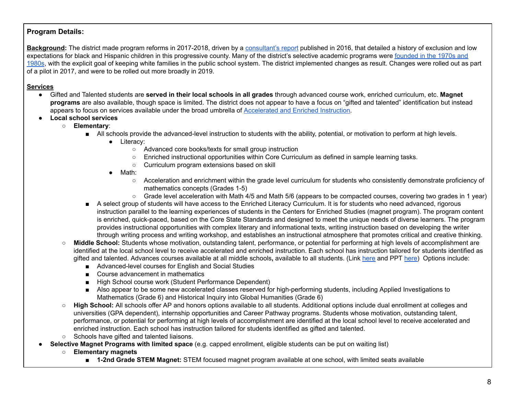# **Program Details:**

**<u>Background</u>:** The district made program reforms in 2017-2018, driven by a <u>[consultant's](http://www.montgomeryschoolsmd.org/uploadedFiles/info/choice/ChoiceStudyReport-Version2-20160307.pdf) report</u> published in 2016, that detailed a history of exclusion and low expectations for black and Hispanic children in this progressive county. Many of the district's selective academic programs were <u>[founded](http://www.montgomeryschoolsmd.org/uploadedFiles/info/choice/ChoiceStudyReport-Version2-20160307.pdf) in the 1970s and</u> [1980s](http://www.montgomeryschoolsmd.org/uploadedFiles/info/choice/ChoiceStudyReport-Version2-20160307.pdf), with the explicit goal of keeping white families in the public school system. The district implemented changes as result. Changes were rolled out as part of a pilot in 2017, and were to be rolled out more broadly in 2019.

#### **Services**

- ● Gifted and Talented students are **served in their local schools in all grades** through advanced course work, enriched curriculum, etc. **Magnet programs** are also available, though space is limited. The district does not appear to have a focus on "gifted and talented" identification but instead appears to focus on services available under the broad umbrella of [Accelerated](https://www.montgomeryschoolsmd.org/curriculum/enriched/) and Enriched Instruction.
- **Local school services**
	- **Elementary**:
		- All schools provide the advanced-level instruction to students with the ability, potential, or motivation to perform at high levels.
			- ● Literacy:
				- Advanced core books/texts for small group instruction
				- Enriched instructional opportunities within Core Curriculum as defined in sample learning tasks.
				- Curriculum program extensions based on skill
			- ● Math:
				- ○ Acceleration and enrichment within the grade level curriculum for students who consistently demonstrate proficiency of mathematics concepts (Grades 1-5)
				- Grade level acceleration with Math 4/5 and Math 5/6 (appears to be compacted courses, covering two grades in 1 year)
		- ■ A select group of students will have access to the Enriched Literacy Curriculum. It is for students who need advanced, rigorous instruction parallel to the learning experiences of students in the Centers for Enriched Studies (magnet program). The program content is enriched, quick-paced, based on the Core State Standards and designed to meet the unique needs of diverse learners. The program provides instructional opportunities with complex literary and informational texts, writing instruction based on developing the writer through writing process and writing workshop, and establishes an instructional atmosphere that promotes critical and creative thinking.
	- **Middle School:** Students whose motivation, outstanding talent, performance, or potential for performing at high levels of accomplishment are identified at the local school level to receive accelerated and enriched instruction. Each school has instruction tailored for students identified as gifted and talented. Advances courses available at all middle schools**,** available to all students. (Link [here](https://www.montgomeryschoolsmd.org/curriculum/enriched/about/faq.aspx#q2) and PPT [here\)](https://www.montgomeryschoolsmd.org/uploadedFiles/curriculum/specialprograms/middle/MS%20Presentation.pdf) Options include:
		- Advanced-level courses for English and Social Studies
		- Course advancement in mathematics
		- High School course work (Student Performance Dependent)
		- Also appear to be some new accelerated classes reserved for high-performing students, including Applied Investigations to Mathematics (Grade 6) and Historical Inquiry into Global Humanities (Grade 6)
	- **High School:** All schools offer AP and honors options available to all students. Additional options include dual enrollment at colleges and universities (GPA dependent), internship opportunities and Career Pathway programs. Students whose motivation, outstanding talent, performance, or potential for performing at high levels of accomplishment are identified at the local school level to receive accelerated and enriched instruction. Each school has instruction tailored for students identified as gifted and talented.
	- Schools have gifted and talented liaisons.
- **● Selective Magnet Programs with limited space** (e.g. capped enrollment, eligible students can be put on waiting list)
	- ○ **Elementary magnets**
		- **1-2nd Grade STEM Magnet:** STEM focused magnet program available at one school, with limited seats available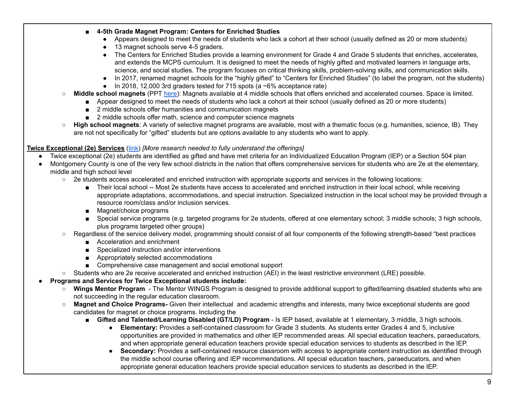- **4-5th Grade Magnet Program: Centers for Enriched Studies**
	- Appears designed to meet the needs of students who lack a cohort at their school (usually defined as 20 or more students)
	- 13 magnet schools serve 4-5 graders.
	- ● The Centers for Enriched Studies provide a learning environment for Grade 4 and Grade 5 students that enriches, accelerates, and extends the MCPS curriculum. It is designed to meet the needs of highly gifted and motivated learners in language arts, science, and social studies. The program focuses on critical thinking skills, problem-solving skills, and communication skills.
	- In 2017, renamed magnet schools for the "highly gifted" to "Centers for Enriched Studies" (to label the program, not the students)
	- In 2018, 12,000 3rd graders tested for 715 spots (a ~6% acceptance rate)
- **Middle school magnets** (PPT <u>[here](https://www.montgomeryschoolsmd.org/uploadedFiles/curriculum/specialprograms/middle/MS%20Presentation.pdf)</u>): Magnets available at 4 middle schools that offers enriched and accelerated courses. Space is limited.
	- Appear designed to meet the needs of students who lack a cohort at their school (usually defined as 20 or more students)
	- 2 middle schools offer humanities and communication magnets
	- 2 middle schools offer math, science and computer science magnets
- **High school magnets**: A variety of selective magnet programs are available, most with a thematic focus (e.g. humanities, science, IB). They are not not specifically for "gifted" students but are options available to any students who want to apply.

# **Twice [Exceptional](https://www.montgomeryschoolsmd.org/curriculum/enriched/gtld) (2e) Services** ([link\)](https://www.montgomeryschoolsmd.org/curriculum/enriched/gtld) *[More research needed to fully understand the offerings]*

- Twice exceptional (2e) students are identified as gifted and have met criteria for an Individualized Education Program (IEP) or a Section 504 plan
- ● Montgomery County is one of the very few school districts in the nation that offers comprehensive services for students who are 2e at the elementary, middle and high school level
	- 2e students access accelerated and enriched instruction with appropriate supports and services in the following locations:
		- Their local school -- Most 2e students have access to accelerated and enriched instruction in their local school, while receiving appropriate adaptations, accommodations, and special instruction. Specialized instruction in the local school may be provided through a resource room/class and/or inclusion services.
		- Magnet/choice programs
		- Special service programs (e.g. targeted programs for 2e students, offered at one elementary school; 3 middle schools; 3 high schools, plus programs targeted other groups)
	- Regardless of the service delivery model, programming should consist of all four components of the following strength-based "best practices
		- Acceleration and enrichment
		- Specialized instruction and/or interventions
		- Appropriately selected accommodations
		- Comprehensive case management and social emotional support
	- Students who are 2e receive accelerated and enriched instruction (AEI) in the least restrictive environment (LRE) possible.

# ● **Programs and Services for Twice Exceptional students include:**

- **Wings Mentor Program** The Mentor WINGS Program is designed to provide additional support to gifted/learning disabled students who are not succeeding in the regular education classroom.
- **Magnet and Choice Programs-** Given their intellectual and academic strengths and interests, many twice exceptional students are good candidates for magnet or choice programs. Including the
	- **Gifted and Talented/Learning Disabled (GT/LD) Program Is IEP based, available at 1 elementary, 3 middle, 3 high schools.** 
		- **Elementary:** Provides a self-contained classroom for Grade 3 students. As students enter Grades 4 and 5, inclusive opportunities are provided in mathematics and other IEP recommended areas. All special education teachers, paraeducators, and when appropriate general education teachers provide special education services to students as described in the IEP.
		- **Secondary:** Provides a self-contained resource classroom with access to appropriate content instruction as identified through the middle school course offering and IEP recommendations. All special education teachers, paraeducators, and when appropriate general education teachers provide special education services to students as described in the IEP.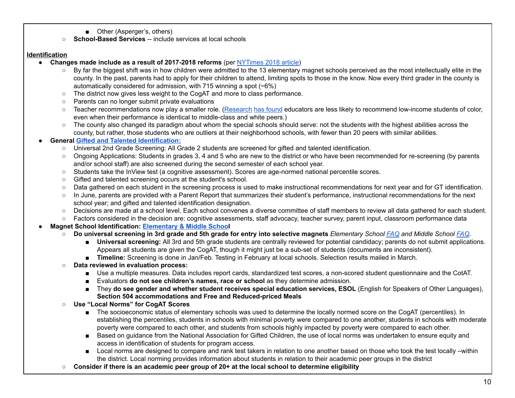- Other (Asperger's, others)
- **School-Based Services** -- include services at local schools

#### **Identification**

- **Changes made include as a result of 2017-2018 reforms** (per [NYTimes](https://www.nytimes.com/2018/09/13/us/education-gifted-students.html) 2018 article)
	- $\circ$  By far the biggest shift was in how children were admitted to the 13 elementary magnet schools perceived as the most intellectually elite in the county. In the past, parents had to apply for their children to attend, limiting spots to those in the know. Now every third grader in the county is automatically considered for admission, with 715 winning a spot (~6%)
	- The district now gives less weight to the CogAT and more to class performance.
	- Parents can no longer submit private evaluations
	- Teacher recommendations now play a smaller role. (<u>[Research](http://www.pnas.org/content/113/48/13678) [h](http://journals.sagepub.com/doi/abs/10.1177/0016986217738053)as [found](http://journals.sagepub.com/doi/abs/10.1177/0016986217738053)</u> educators are less likely to recommend low-income students of color, even when their performance is identical to middle-class and white peers.)
	- $\circ$  The county also changed its paradigm about whom the special schools should serve: not the students with the highest abilities across the county, but rather, those students who are outliers at their neighborhood schools, with fewer than 20 peers with similar abilities.

#### **● General Gifted and Talented [Identification:](https://www.montgomeryschoolsmd.org/uploadedFiles/curriculum/enriched/about/Updated_Understanding%20Screening-July2016%20ENG.pdf)**

- Universal 2nd Grade Screening: All Grade 2 students are screened for gifted and talented identification.
- Ongoing Applications: Students in grades 3, 4 and 5 who are new to the district or who have been recommended for re-screening (by parents and/or school staff) are also screened during the second semester of each school year.
- Students take the InView test (a cognitive assessment). Scores are age-normed national percentile scores.
- Gifted and talented screening occurs at the student's school.
- Data gathered on each student in the screening process is used to make instructional recommendations for next year and for GT identification.
- In June, parents are provided with a Parent Report that summarizes their student's performance, instructional recommendations for the next school year; and gifted and talented identification designation.
- Decisions are made at a school level. Each school convenes a diverse committee of staff members to review all data gathered for each student.
- Factors considered in the decision are: cognitive assessments, staff advocacy, teacher survey, parent input, classroom performance data
- **● Magnet School Identification: [Elementary](https://www.montgomeryschoolsmd.org/curriculum/specialprograms/) & Middle School**
	- Do universal screening in 3rd grade and 5th grade for entry into selective magnets Elementary School [FAQ](https://www.montgomeryschoolsmd.org/uploadedFiles/curriculum/specialprograms/elementary/Understanding%20the%20CES%20Selection%20Process%204.419(1).pdf) and Middle School [FAQ.](https://www.montgomeryschoolsmd.org/uploadedFiles/curriculum/specialprograms/middle/Magnet%20FAQs%202019(8).pdf)
		- **Universal screening:** All 3rd and 5th grade students are centrally reviewed for potential candidacy; parents do not submit applications. Appears all students are given the CogAT, though it might just be a sub-set of students (documents are inconsistent).
		- **Timeline:** Screening is done in Jan/Feb. Testing in February at local schools. Selection results mailed in March.
	- **Data reviewed in evaluation process:**
		- Use a multiple measures. Data includes report cards, standardized test scores, a non-scored student questionnaire and the CotAT.
		- Evaluators **do not see children's names, race or school** as they determine admission.
		- ■ They **do see gender and whether student receives special education services, ESOL** (English for Speakers of Other Languages),  **Section 504 accommodations and Free and Reduced-priced Meals**
	- **Use "Local Norms" for CogAT Scores**
		- The socioeconomic status of elementary schools was used to determine the locally normed score on the CogAT (percentiles). In establishing the percentiles, students in schools with minimal poverty were compared to one another, students in schools with moderate poverty were compared to each other, and students from schools highly impacted by poverty were compared to each other.
		- Based on guidance from the National Association for Gifted Children, the use of local norms was undertaken to ensure equity and access in identification of students for program access.
		- Local norms are designed to compare and rank test takers in relation to one another based on those who took the test locally –within the district. Local norming provides information about students in relation to their academic peer groups in the district
	- $\circ$  Consider if there is an academic peer group of 20+ at the local school to determine eligibility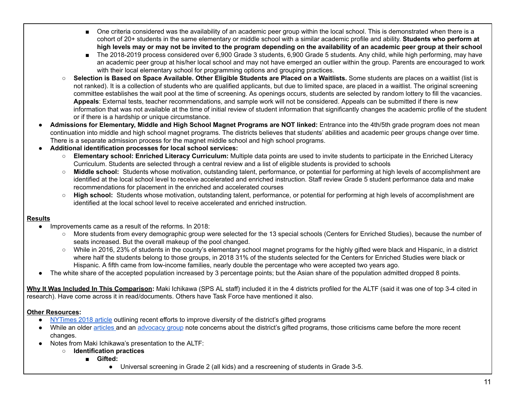- ■ One criteria considered was the availability of an academic peer group within the local school. This is demonstrated when there is a cohort of 20+ students in the same elementary or middle school with a similar academic profile and ability. **Students who perform at** high levels may or may not be invited to the program depending on the availability of an academic peer group at their school
- The 2018-2019 process considered over 6,900 Grade 3 students, 6,900 Grade 5 students. Any child, while high performing, may have an academic peer group at his/her local school and may not have emerged an outlier within the group. Parents are encouraged to work with their local elementary school for programming options and grouping practices.
- Selection is Based on Space Available. Other Eligible Students are Placed on a Waitlists. Some students are places on a waitlist (list is not ranked). It is a collection of students who are qualified applicants, but due to limited space, are placed in a waitlist. The original screening committee establishes the wait pool at the time of screening. As openings occurs, students are selected by random lottery to fill the vacancies. **Appeals**: External tests, teacher recommendations, and sample work will not be considered. Appeals can be submitted if there is new information that was not available at the time of initial review of student information that significantly changes the academic profile of the student or if there is a hardship or unique circumstance.
- Admissions for Elementary, Middle and High School Magnet Programs are NOT linked: Entrance into the 4th/5th grade program does not mean continuation into middle and high school magnet programs. The districts believes that students' abilities and academic peer groups change over time. There is a separate admission process for the magnet middle school and high school programs.
- **● Additional identification processes for local school services:**
	- **Elementary school: Enriched Literacy Curriculum:** Multiple data points are used to invite students to participate in the Enriched Literacy Curriculum. Students are selected through a central review and a list of eligible students is provided to schools
	- **Middle school:** Students whose motivation, outstanding talent, performance, or potential for performing at high levels of accomplishment are identified at the local school level to receive accelerated and enriched instruction. Staff review Grade 5 student performance data and make recommendations for placement in the enriched and accelerated courses
	- **High school:** Students whose motivation, outstanding talent, performance, or potential for performing at high levels of accomplishment are identified at the local school level to receive accelerated and enriched instruction.

#### **Results**

- ● Improvements came as a result of the reforms. In 2018:
	- More students from every demographic group were selected for the 13 special schools (Centers for Enriched Studies), because the number of seats increased. But the overall makeup of the pool changed.
	- While in 2016, 23% of students in the county's elementary school magnet programs for the highly gifted were black and Hispanic, in a district where half the students belong to those groups, in 2018 31% of the students selected for the Centers for Enriched Studies were black or Hispanic. A fifth came from low-income families, nearly double the percentage who were accepted two years ago.
- The white share of the accepted population increased by 3 percentage points; but the Asian share of the population admitted dropped 8 points.

 **Why It Was Included In This Comparison:** Maki Ichikawa (SPS AL staff) included it in the 4 districts profiled for the ALTF (said it was one of top 3-4 cited in research). Have come across it in read/documents. Others have Task Force have mentioned it also.

# **Other Resources:**

- [NYTimes](https://www.nytimes.com/2018/09/13/us/education-gifted-students.html) 2018 article outlining recent efforts to improve diversity of the district's gifted programs
- While an older [articles](https://files.eric.ed.gov/fulltext/EJ1104928.pdf) and an [advocacy](http://www.mcef.org/main.html) group note concerns about the district's gifted programs, those criticisms came before the more recent changes.
- **●** Notes from Maki Ichikawa's presentation to the ALTF:
	- **Identification practices**
		- **Gifted:**
			- Universal screening in Grade 2 (all kids) and a rescreening of students in Grade 3-5.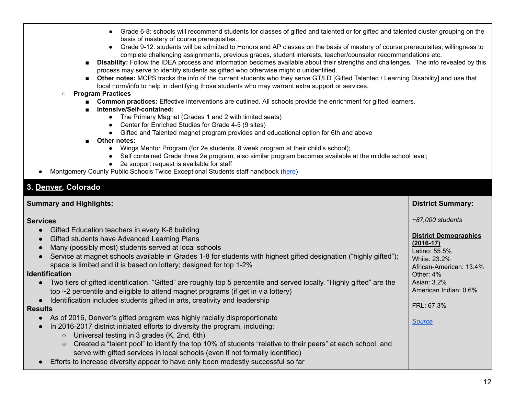- Grade 6-8: schools will recommend students for classes of gifted and talented or for gifted and talented cluster grouping on the basis of mastery of course prerequisites.
- Grade 9-12: students will be admitted to Honors and AP classes on the basis of mastery of course prerequisites, willingness to complete challenging assignments, previous grades, student interests, teacher/counselor recommendations etc.
- **Disability:** Follow the IDEA process and information becomes available about their strengths and challenges. The info revealed by this process may serve to identify students as gifted who otherwise might o unidentified.
- **Other notes:** MCPS tracks the info of the current students who they serve GT/LD [Gifted Talented / Learning Disability] and use that local norm/info to help in identifying those students who may warrant extra support or services.

#### ○ **Program Practices**

- **Common practices:** Effective interventions are outlined. All schools provide the enrichment for gifted learners.
- Intensive/Self-contained:
	- The Primary Magnet (Grades 1 and 2 with limited seats)
	- Center for Enriched Studies for Grade 4-5 (9 sites)
	- Gifted and Talented magnet program provides and educational option for 6th and above
- Other notes:
	- Wings Mentor Program (for 2e students. 8 week program at their child's school);
	- Self contained Grade three 2e program, also similar program becomes available at the middle school level;
	- 2e support request is available for staff
- Montgomery County Public Schools Twice Exceptional Students staff handbook ([here\)](https://www.montgomeryschoolsmd.org/uploadedFiles/curriculum/enriched/programs/gtld/0470.15_TwiceExceptionalStudents_Handbook_Web.pdf)

# <span id="page-11-0"></span>**3. [Denver](https://studentequity.dpsk12.org/gifted-talented/) , Colorado**

| <b>Summary and Highlights:</b>                                                                                                                                                                        | <b>District Summary:</b>                |
|-------------------------------------------------------------------------------------------------------------------------------------------------------------------------------------------------------|-----------------------------------------|
| <b>Services</b>                                                                                                                                                                                       | $~87,000$ students                      |
| Gifted Education teachers in every K-8 building<br>$\bullet$<br>Gifted students have Advanced Learning Plans<br>$\bullet$                                                                             | <b>District Demographics</b>            |
| Many (possibly most) students served at local schools<br>$\bullet$                                                                                                                                    | $(2016-17)$<br>Latino: 55.5%            |
| Service at magnet schools available in Grades 1-8 for students with highest gifted designation ("highly gifted");<br>$\bullet$                                                                        | White: 23.2%                            |
| space is limited and it is based on lottery; designed for top 1-2%<br><b>Identification</b>                                                                                                           | African-American: 13.4%<br>Other: $4\%$ |
| Two tiers of gifted identification. "Gifted" are roughly top 5 percentile and served locally. "Highly gifted" are the<br>$\bullet$                                                                    | Asian: 3.2%<br>American Indian: 0.6%    |
| top ~2 percentile and eligible to attend magnet programs (if get in via lottery)<br>Identification includes students gifted in arts, creativity and leadership                                        |                                         |
| <b>Results</b>                                                                                                                                                                                        | FRL: 67.3%                              |
| As of 2016, Denver's gifted program was highly racially disproportionate                                                                                                                              | Source                                  |
| In 2016-2017 district initiated efforts to diversity the program, including:<br>$\bullet$                                                                                                             |                                         |
| Universal testing in 3 grades (K, 2nd, 6th)<br>$\circ$                                                                                                                                                |                                         |
| Created a "talent pool" to identify the top 10% of students "relative to their peers" at each school, and<br>$\circ$<br>serve with gifted services in local schools (even if not formally identified) |                                         |
| Efforts to increase diversity appear to have only been modestly successful so far<br>$\bullet$                                                                                                        |                                         |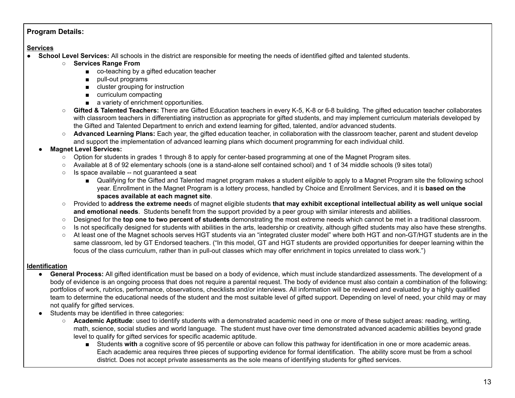# **Program Details:**

# **Services**

- **School Level Services:** All schools in the district are responsible for meeting the needs of identified gifted and talented students.
	- **○ Services Range From**
		- co-teaching by a gifted education teacher
		- pull-out programs
		- cluster grouping for instruction
		- curriculum compacting
		- a variety of enrichment opportunities.
	- **Gifted & Talented Teachers:** There are Gifted Education teachers in every K-5, K-8 or 6-8 building. The gifted education teacher collaborates with classroom teachers in differentiating instruction as appropriate for gifted students, and may implement curriculum materials developed by the Gifted and Talented Department to enrich and extend learning for gifted, talented, and/or advanced students.
	- **Advanced Learning Plans:** Each year, the gifted education teacher, in collaboration with the classroom teacher, parent and student develop and support the implementation of advanced learning plans which document programming for each individual child.

# ● **Magnet Level Services:**

- Option for students in grades 1 through 8 to apply for center-based programming at one of the Magnet Program sites.
- Available at 8 of 92 elementary schools (one is a stand-alone self contained school) and 1 of 34 middle schools (9 sites total)
- Is space available -- not guaranteed a seat
	- Qualifying for the Gifted and Talented magnet program makes a student *eligible* to apply to a Magnet Program site the following school year. Enrollment in the Magnet Program is a lottery process, handled by Choice and Enrollment Services, and it is **based on the spaces available at each magnet site**.
- Provided to address the extreme needs of magnet eligible students that may exhibit exceptional intellectual ability as well unique social  **and emotional needs**. Students benefit from the support provided by a peer group with similar interests and abilities.
- Designed for the **top one to two percent of students** demonstrating the most extreme needs which cannot be met in a traditional classroom.
- Is not specifically designed for students with abilities in the arts, leadership or creativity, although gifted students may also have these strengths.
- At least one of the Magnet schools serves HGT students via an "integrated cluster model" where both HGT and non-GT/HGT students are in the same classroom, led by GT Endorsed teachers. ("In this model, GT and HGT students are provided opportunities for deeper learning within the focus of the class curriculum, rather than in pull-out classes which may offer enrichment in topics unrelated to class work.")

# **Identification**

- **General Process:** All gifted identification must be based on a body of evidence, which must include standardized assessments. The development of a body of evidence is an ongoing process that does not require a parental request. The body of evidence must also contain a combination of the following: portfolios of work, rubrics, performance, observations, checklists and/or interviews. All information will be reviewed and evaluated by a highly qualified team to determine the educational needs of the student and the most suitable level of gifted support. Depending on level of need, your child may or may not qualify for gifted services.
- ● Students may be identified in three categories:
	- **Academic Aptitude**: used to identify students with a demonstrated academic need in one or more of these subject areas: reading, writing, math, science, social studies and world language. The student must have over time demonstrated advanced academic abilities beyond grade level to qualify for gifted services for specific academic aptitude.
		- Students with a cognitive score of 95 percentile or above can follow this pathway for identification in one or more academic areas. Each academic area requires three pieces of supporting evidence for formal identification. The ability score must be from a school district. Does not accept private assessments as the sole means of identifying students for gifted services.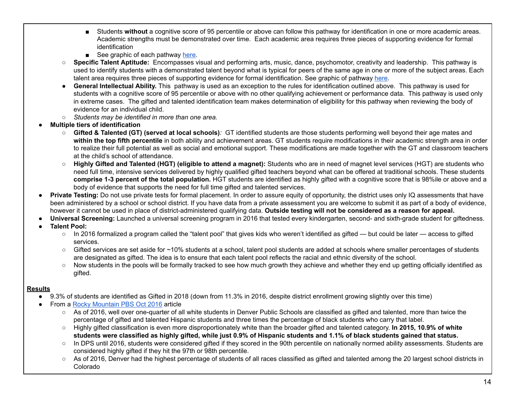- Students without a cognitive score of 95 percentile or above can follow this pathway for identification in one or more academic areas. Academic strengths must be demonstrated over time. Each academic area requires three pieces of supporting evidence for formal identification
- See graphic of each pathway [here.](https://studentequity.dpsk12.org/gifted-talented/#1482356123835-502a87dd-06fa)
- **Specific Talent Aptitude:** Encompasses visual and performing arts, music, dance, psychomotor, creativity and leadership. This pathway is used to identify students with a demonstrated talent beyond what is typical for peers of the same age in one or more of the subject areas. Each talent area requires three pieces of supporting evidence for formal identification. See graphic of pathway <u>[here](https://studentequity.dpsk12.org/gifted-talented/#1482356885804-677224a6-d81b)</u>.
- **General Intellectual Ability.** This pathway is used as an exception to the rules for identification outlined above. This pathway is used for students with a cognitive score of 95 percentile or above with no other qualifying achievement or performance data. This pathway is used only in extreme cases. The gifted and talented identification team makes determination of eligibility for this pathway when reviewing the body of evidence for an individual child.
- *○ Students may be identified in more than one area.*
- **● Multiple tiers of identification**
	- *○* **Gifted & Talented (GT) (served at local schools)***:* GT identified students are those students performing well beyond their age mates and  **within the top fifth percentile** in both ability and achievement areas. GT students require modifications in their academic strength area in order to realize their full potential as well as social and emotional support. These modifications are made together with the GT and classroom teachers at the child's school of attendance.
	- *○* **Highly Gifted and Talented (HGT) (eligible to attend a magnet):** Students who are in need of magnet level services (HGT) are students who need full time, intensive services delivered by highly qualified gifted teachers beyond what can be offered at traditional schools. These students  **comprise 1-3 percent of the total population.** HGT students are identified as highly gifted with a cognitive score that is 98%ile or above and a body of evidence that supports the need for full time gifted and talented services.
- **Private Testing:** Do not use private tests for formal placement. In order to assure equity of opportunity, the district uses only IQ assessments that have been administered by a school or school district. If you have data from a private assessment you are welcome to submit it as part of a body of evidence, however it cannot be used in place of district-administered qualifying data. **Outside testing will not be considered as a reason for appeal.**
- **● Universal Screening:** Launched a universal screening program in 2016 that tested every kindergarten, second- and sixth-grade student for giftedness.
- **● Talent Pool:**
	- In 2016 formalized a program called the "talent pool" that gives kids who weren't identified as gifted but could be later access to gifted services.
	- Gifted services are set aside for ~10% students at a school, talent pool students are added at schools where smaller percentages of students are designated as gifted. The idea is to ensure that each talent pool reflects the racial and ethnic diversity of the school.
	- Now students in the pools will be formally tracked to see how much growth they achieve and whether they end up getting officially identified as gifted.

# **Results**

- 9.3% of students are identified as Gifted in 2018 (down from 11.3% in 2016, despite district enrollment growing slightly over this time)
- From a Rocky [Mountain](http://www.rmpbs.org/blogs/news/dps-gifted-and-talented-program-highly-skewed-toward-whites/) PBS Oct 2016 article
	- $\circ$  As of 2016, well over one-quarter of all white students in Denver Public Schools are classified as gifted and talented, more than twice the percentage of gifted and talented Hispanic students and three times the percentage of black students who carry that label.
	- ○ Highly gifted classification is even more disproportionately white than the broader gifted and talented category. **In 2015, 10.9% of white** students were classified as highly gifted, while just 0.9% of Hispanic students and 1.1% of black students gained that status.
	- In DPS until 2016, students were considered gifted if they scored in the 90th percentile on nationally normed ability assessments. Students are considered highly gifted if they hit the 97th or 98th percentile.
	- As of 2016, Denver had the highest percentage of students of all races classified as gifted and talented among the 20 largest school districts in Colorado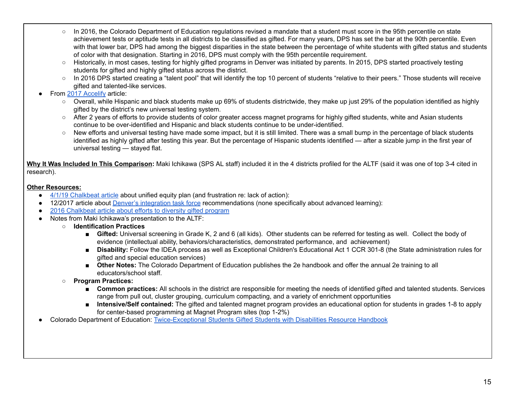- In 2016, the Colorado Department of Education regulations revised a mandate that a student must score in the 95th percentile on state achievement tests or aptitude tests in all districts to be classified as gifted. For many years, DPS has set the bar at the 90th percentile. Even with that lower bar, DPS had among the biggest disparities in the state between the percentage of white students with gifted status and students of color with that designation. Starting in 2016, DPS must comply with the 95th percentile requirement.
- Historically, in most cases, testing for highly gifted programs in Denver was initiated by parents. In 2015, DPS started proactively testing students for gifted and highly gifted status across the district.
- In 2016 DPS started creating a "talent pool" that will identify the top 10 percent of students "relative to their peers." Those students will receive gifted and talented-like services.
- From 2017 [Accelify](https://www.accelify.com/industry-news/denver-public-schools-identifying-students-color-highly-gifted-big-disparities-remain/) article:
	- Overall, while Hispanic and black students make up 69% of students districtwide, they make up just 29% of the population identified as highly gifted by the district's new universal testing system.
	- After 2 years of efforts to provide students of color greater access magnet programs for highly gifted students, white and Asian students continue to be over-identified and Hispanic and black students continue to be under-identified.
	- New efforts and universal testing have made some impact, but it is still limited. There was a small bump in the percentage of black students identified as highly gifted after testing this year. But the percentage of Hispanic students identified — after a sizable jump in the first year of universal testing — stayed flat.

 **Why It Was Included In This Comparison:** Maki Ichikawa (SPS AL staff) included it in the 4 districts profiled for the ALTF (said it was one of top 3-4 cited in research).

# **Other Resources:**

- 4/1/19 [Chalkbeat](https://www.chalkbeat.org/posts/co/2019/04/01/denver-public-schools-susana-cordova-unified-equity-plan/) article about unified equity plan (and frustration re: lack of action):
- 12/2017 article about *Denver's [integration](https://www.chalkbeat.org/posts/co/2017/12/12/gentrification-is-changing-denver-schools-these-recommendations-aim-to-address-that/) task force recommendations (none specifically about advanced learning)*:
- 2016 [Chalkbeat](https://www.chalkbeat.org/posts/co/2016/05/26/dps-takes-steps-to-get-more-students-of-color-into-magnet-programs-for-the-highly-gifted/) article about efforts to diversity gifted program
- ● Notes from Maki Ichikawa's presentation to the ALTF:
	- **Identification Practices**
		- Gifted: Universal screening in Grade K, 2 and 6 (all kids). Other students can be referred for testing as well. Collect the body of evidence (intellectual ability, behaviors/characteristics, demonstrated performance, and achievement)
		- **Disability:** Follow the IDEA process as well as Exceptional Children's Educational Act 1 CCR 301-8 (the State administration rules for gifted and special education services)
		- **Other Notes:** The Colorado Department of Education publishes the 2e handbook and offer the annual 2e training to all educators/school staff.
	- **Program Practices:**
		- **Common practices:** All schools in the district are responsible for meeting the needs of identified gifted and talented students. Services range from pull out, cluster grouping, curriculum compacting, and a variety of enrichment opportunities
		- **Intensive/Self contained:** The gifted and talented magnet program provides an educational option for students in grades 1-8 to apply for center-based programming at Magnet Program sites (top 1-2%)
- Colorado Department of Education: [Twice-Exceptional](https://www.cde.state.co.us/gt/level_1_resource_handbook_4th_ed_1-17-17) Students Gifted Students with Disabilities Resource Handbook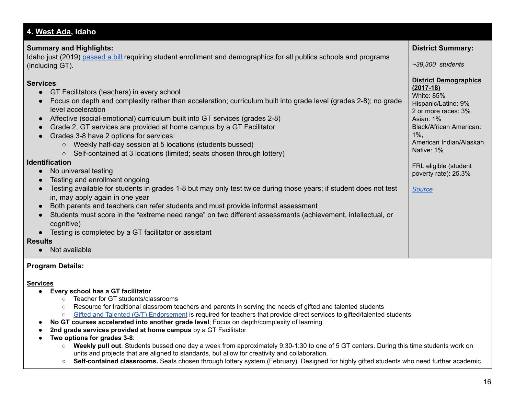#### <span id="page-15-0"></span> **Summary and Highlights:** Idaho just (2019) <u>[passed](https://lmtribune.com/northwest/initiative-bill-waits-for-governor-s-signature/article_808b54b8-111f-5e13-905d-f084c8c5adee.html) a bill</u> requiring student enrollment and demographics for all publics schools and programs (including GT). ● GT Facilitators (teachers) in every school ● Focus on depth and complexity rather than acceleration; curriculum built into grade level (grades 2-8); no grade ● Affective (social-emotional) curriculum built into GT services (grades 2-8) ● Grade 2, GT services are provided at home campus by a GT Facilitator ● Grades 3-8 have 2 options for services: ○ Weekly half-day session at 5 locations (students bussed) ○ Self-contained at 3 locations (limited; seats chosen through lottery) ● No universal testing ● Testing and enrollment ongoing ● Testing available for students in grades 1-8 but may only test twice during those years; if student does not test in, may apply again in one year ● Both parents and teachers can refer students and must provide informal assessment ● Students must score in the "extreme need range" on two different assessments (achievement, intellectual, or ● Testing is completed by a GT facilitator or assistant ● Not available  **District Summary:**  *~39,300 students* White: 85% Hispanic/Latino: 9% 2 or more races: 3% Asian: 1% Black/African American: 1%, Native: 1% FRL eligible (student poverty rate): 25.3% **4. [West Ada ,](https://www.westada.org/Page/59058) Idaho Services District Demographics (2017-18)** level acceleration **Identification** cognitive) **Results** American Indian/Alaskan *[Source](https://www.westada.org/Page/34846)*

# **Program Details:**

# **Services**

- **Every school has a GT facilitator**.
	- Teacher for GT students/classrooms
	- Resource for traditional classroom teachers and parents in serving the needs of gifted and talented students
	- Gifted and Talented (G/T) [Endorsement](http://www.sde.idaho.gov/academic/gifted-talented/) is required for teachers that provide direct services to gifted/talented students
- **No GT courses accelerated into another grade level**; Focus on depth/complexity of learning
- **2nd grade services provided at home campus** by a GT Facilitator
- **Two options for grades 3-8**:
	- **Weekly pull out**. Students bussed one day a week from approximately 9:30-1:30 to one of 5 GT centers. During this time students work on units and projects that are aligned to standards, but allow for creativity and collaboration.
	- **Self-contained classrooms.** Seats chosen through lottery system (February). Designed for highly gifted students who need further academic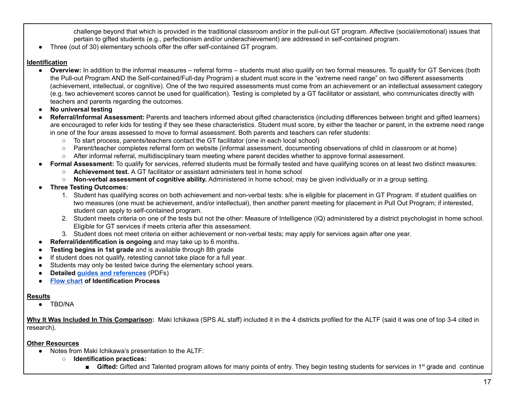challenge beyond that which is provided in the traditional classroom and/or in the pull-out GT program. Affective (social/emotional) issues that pertain to gifted students (e.g., perfectionism and/or underachievement) are addressed in self-contained program.

● Three (out of 30) elementary schools offer the offer self-contained GT program.

#### **Identification**

- **● Overview:** In addition to the informal measures referral forms students must also qualify on two formal measures. To qualify for GT Services (both the Pull-out Program AND the Self-contained/Full-day Program) a student must score in the "extreme need range" on two different assessments (achievement, intellectual, or cognitive). One of the two required assessments must come from an achievement or an intellectual assessment category (e.g. two achievement scores cannot be used for qualification). Testing is completed by a GT facilitator or assistant, who communicates directly with teachers and parents regarding the outcomes.
- **● No universal testing**
- ● **Referral/Informal Assessment:** Parents and teachers informed about gifted characteristics (including differences between bright and gifted learners) are encouraged to refer kids for testing if they see these characteristics. Student must score, by either the teacher or parent, in the extreme need range in one of the four areas assessed to move to formal assessment. Both parents and teachers can refer students:
	- To start process, parents/teachers contact the GT facilitator (one in each local school)
	- Parent/teacher completes referral form on website (informal assessment, documenting observations of child in classroom or at home)
	- After informal referral, multidisciplinary team meeting where parent decides whether to approve formal assessment.
- ● **Formal Assessment:** To qualify for services, referred students must be formally tested and have qualifying scores on at least two distinct measures:
	- **Achievement test.** A GT facilitator or assistant administers test in home school
	- **Non-verbal assessment of cognitive ability.** Administered in home school; may be given individually or in a group setting.
- **● Three Testing Outcomes:**
	- 1. Student has qualifying scores on both achievement and non-verbal tests: s/he is eligible for placement in GT Program. If student qualifies on two measures (one must be achievement, and/or intellectual), then another parent meeting for placement in Pull Out Program; if interested, student can apply to self-contained program.
	- 2. Student meets criteria on one of the tests but not the other: Measure of Intelligence (IQ) administered by a district psychologist in home school. Eligible for GT services if meets criteria after this assessment.
	- 3. Student does not meet criteria on either achievement or non-verbal tests; may apply for services again after one year.
- **Referral/identification is ongoing** and may take up to 6 months.
- **Testing begins in 1st grade** and is available through 8th grade
- If student does not qualify, retesting cannot take place for a full year.
- Students may only be tested twice during the elementary school years.
- **Detailed guides and [references](https://www.westada.org/Page/55373)** (PDFs)
- **Flow [chart](https://www.westada.org/site/handlers/filedownload.ashx?moduleinstanceid=221246&dataid=203264&FileName=GT%20Qualification%20Process%20Flow%20Chart.pdf) of Identification Process**

# **Results**

● TBD/NA

 **Why It Was Included In This Comparison:** Maki Ichikawa (SPS AL staff) included it in the 4 districts profiled for the ALTF (said it was one of top 3-4 cited in research).

# **Other Resources**

- ● Notes from Maki Ichikawa's presentation to the ALTF:
	- **Identification practices:**
		- Gifted: Gifted and Talented program allows for many points of entry. They begin testing students for services in 1<sup>st</sup> grade and continue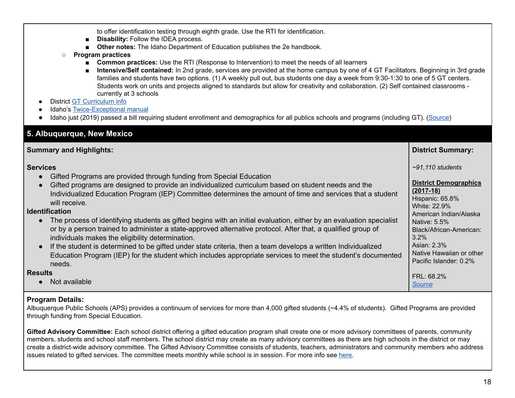to offer identification testing through eighth grade. Use the RTI for identification.

- **Disability: Follow the IDEA process.**
- **■ Other notes:** The Idaho Department of Education publishes the 2e handbook.
- **○ Program practices**
	- **Common practices:** Use the RTI (Response to Intervention) to meet the needs of all learners
	- **Intensive/Self contained:** In 2nd grade, services are provided at the home campus by one of 4 GT Facilitators. Beginning in 3rd grade families and students have two options. (1) A weekly pull out, bus students one day a week from 9:30-1:30 to one of 5 GT centers. Students work on units and projects aligned to standards but allow for creativity and collaboration. (2) Self contained classrooms - currently at 3 schools
- District GT [Curriculum](https://www.westada.org/Page/15201) info
- Idaho's [Twice-Exceptional](https://sde.idaho.gov/academic/gifted-talented/files/manuals/Twice-Exceptional-Students-Both-Gifts-Challenges-or-Disabilities.pdf) manual
- **●** Idaho just (2019) passed a bill requiring student enrollment and demographics for all publics schools and programs (including GT). [\(Source\)](https://lmtribune.com/northwest/initiative-bill-waits-for-governor-s-signature/article_808b54b8-111f-5e13-905d-f084c8c5adee.html)

<span id="page-17-0"></span>

| 5. Albuquerque, New Mexico                                                                                                                                                                                                                                                                                                                                                                                                                                                                                                                                                                                                                                                                                                                                                                                                                                                                                                         |                                                                                                                                                                                                                                                               |  |  |  |
|------------------------------------------------------------------------------------------------------------------------------------------------------------------------------------------------------------------------------------------------------------------------------------------------------------------------------------------------------------------------------------------------------------------------------------------------------------------------------------------------------------------------------------------------------------------------------------------------------------------------------------------------------------------------------------------------------------------------------------------------------------------------------------------------------------------------------------------------------------------------------------------------------------------------------------|---------------------------------------------------------------------------------------------------------------------------------------------------------------------------------------------------------------------------------------------------------------|--|--|--|
| <b>Summary and Highlights:</b>                                                                                                                                                                                                                                                                                                                                                                                                                                                                                                                                                                                                                                                                                                                                                                                                                                                                                                     | <b>District Summary:</b>                                                                                                                                                                                                                                      |  |  |  |
| <b>Services</b><br>Gifted Programs are provided through funding from Special Education<br>$\bullet$<br>Gifted programs are designed to provide an individualized curriculum based on student needs and the<br>$\bullet$<br>Individualized Education Program (IEP) Committee determines the amount of time and services that a student<br>will receive.<br><b>Identification</b><br>The process of identifying students as gifted begins with an initial evaluation, either by an evaluation specialist<br>or by a person trained to administer a state-approved alternative protocol. After that, a qualified group of<br>individuals makes the eligibility determination.<br>If the student is determined to be gifted under state criteria, then a team develops a written Individualized<br>$\bullet$<br>Education Program (IEP) for the student which includes appropriate services to meet the student's documented<br>needs. | $\sim$ 91,110 students<br><b>District Demographics</b><br>$(2017-18)$<br>Hispanic: 65.8%<br>White: 22.9%<br>American Indian/Alaska<br>Native: 5.5%<br>Black/African-American:<br>$3.2\%$<br>Asian: 2.3%<br>Native Hawaiian or other<br>Pacific Islander: 0.2% |  |  |  |
| <b>Results</b><br>Not available                                                                                                                                                                                                                                                                                                                                                                                                                                                                                                                                                                                                                                                                                                                                                                                                                                                                                                    | FRL: 68.2%<br><b>Source</b>                                                                                                                                                                                                                                   |  |  |  |

# **Program Details:**

 Albuquerque Public Schools (APS) provides a continuum of services for more than 4,000 gifted students (~4.4% of students). Gifted Programs are provided through funding from Special Education.

 **Gifted Advisory Committee:** Each school district offering a gifted education program shall create one or more advisory committees of parents, community members, students and school staff members. The school district may create as many advisory committees as there are high schools in the district or may create a district‐wide advisory committee. The Gifted Advisory Committee consists of students, teachers, administrators and community members who address issues related to gifted services. The committee meets monthly while school is in session. For more info see <u>here</u>.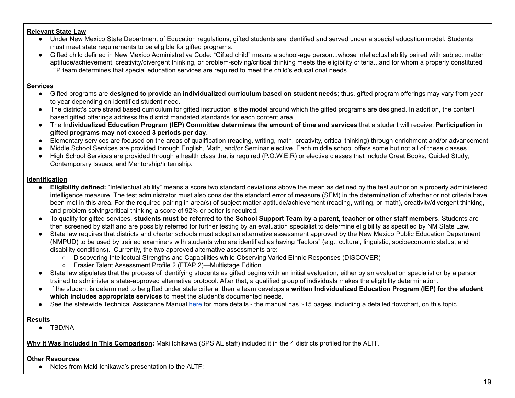#### **Relevant State Law**

- Under New Mexico State Department of Education regulations, gifted students are identified and served under a special education model. Students must meet state requirements to be eligible for gifted programs.
- Gifted child defined in New Mexico Administrative Code: "Gifted child" means a school-age person...whose intellectual ability paired with subject matter aptitude/achievement, creativity/divergent thinking, or problem-solving/critical thinking meets the eligibility criteria...and for whom a properly constituted IEP team determines that special education services are required to meet the child's educational needs.

#### **Services**

- ● Gifted programs are **designed to provide an individualized curriculum based on student needs**; thus, gifted program offerings may vary from year to year depending on identified student need.
- ● The district's core strand based curriculum for gifted instruction is the model around which the gifted programs are designed. In addition, the content based gifted offerings address the district mandated standards for each content area.
- The Individualized Education Program (IEP) Committee determines the amount of time and services that a student will receive. Participation in  **gifted programs may not exceed 3 periods per day**.
- Elementary services are focused on the areas of qualification (reading, writing, math, creativity, critical thinking) through enrichment and/or advancement
- Middle School Services are provided through English, Math, and/or Seminar elective. Each middle school offers some but not all of these classes.
- High School Services are provided through a health class that is required (P.O.W.E.R) or elective classes that include Great Books, Guided Study, Contemporary Issues, and Mentorship/Internship.

#### **Identification**

- **Eligibility defined:** "Intellectual ability" means a score two standard deviations above the mean as defined by the test author on a properly administered intelligence measure. The test administrator must also consider the standard error of measure (SEM) in the determination of whether or not criteria have been met in this area. For the required pairing in area(s) of subject matter aptitude/achievement (reading, writing, or math), creativity/divergent thinking, and problem solving/critical thinking a score of 92% or better is required.
- To qualify for gifted services, students must be referred to the School Support Team by a parent, teacher or other staff members. Students are then screened by staff and are possibly referred for further testing by an evaluation specialist to determine eligibility as specified by NM State Law.
- State law requires that districts and charter schools must adopt an alternative assessment approved by the New Mexico Public Education Department (NMPUD) to be used by trained examiners with students who are identified as having "factors" (e.g., cultural, linguistic, socioeconomic status, and disability conditions). Currently, the two approved alternative assessments are:
	- Discovering Intellectual Strengths and Capabilities while Observing Varied Ethnic Responses (DISCOVER)
	- Frasier Talent Assessment Profile 2 (FTAP 2)—Multistage Edition
- State law stipulates that the process of identifying students as gifted begins with an initial evaluation, either by an evaluation specialist or by a person trained to administer a state-approved alternative protocol. After that, a qualified group of individuals makes the eligibility determination.
- ● If the student is determined to be gifted under state criteria, then a team develops a **written Individualized Education Program (IEP) for the student which includes appropriate services** to meet the student's documented needs.
- See the statewide Technical Assistance Manual [here](https://webnew.ped.state.nm.us/wp-content/uploads/2018/03/Gifted-TA-manual.pdf) for more details the manual has ~15 pages, including a detailed flowchart, on this topic.

#### **Results**

● TBD/NA

 **Why It Was Included In This Comparison:** Maki Ichikawa (SPS AL staff) included it in the 4 districts profiled for the ALTF.

#### **Other Resources**

**●** Notes from Maki Ichikawa's presentation to the ALTF: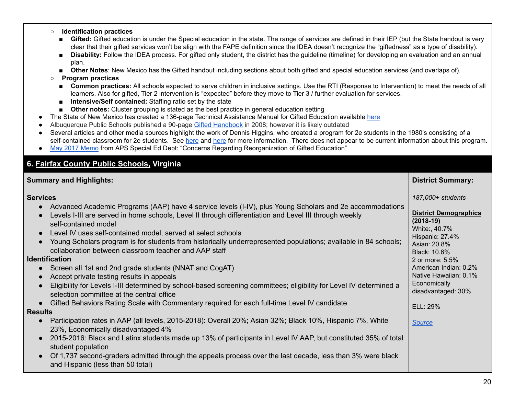#### ○ **Identification practices**

- Gifted: Gifted education is under the Special education in the state. The range of services are defined in their IEP (but the State handout is very clear that their gifted services won't be align with the FAPE definition since the IDEA doesn't recognize the "giftedness" as a type of disability).
- Disability: Follow the IDEA process. For gifted only student, the district has the guideline (timeline) for developing an evaluation and an annual plan.
- **Other Notes**: New Mexico has the Gifted handout including sections about both gifted and special education services (and overlaps of).

#### ○ **Program practices**

- **Common practices:** All schools expected to serve children in inclusive settings. Use the RTI (Response to Intervention) to meet the needs of all learners. Also for gifted, Tier 2 intervention is "expected" before they move to Tier 3 / further evaluation for services.
- **Intensive/Self contained:** Staffing ratio set by the state
- **Other notes:** Cluster grouping is stated as the best practice in general education setting
- The State of New Mexico has created a 136-page Technical Assistance Manual for Gifted Education available [here](https://webnew.ped.state.nm.us/wp-content/uploads/2018/03/Gifted-TA-manual.pdf)
- Albuquerque Public Schools published a 90-page Gifted [Handbook](http://online.anyflip.com/rwuf/qmek/mobile/index.html) in 2008; however it is likely outdated
- Several articles and other media sources highlight the work of Dennis Higgins, who created a program for 2e students in the 1980's consisting of a self-contained classroom for 2e students. See <u>[here](http://www.ldonline.org/article/16685/)</u> and <u>here</u> for more information. There does not appear to be current information about this program.
- May 2017 [Memo](https://www.aps.edu/special-education/documents/giftedattachmenta/view) from APS Special Ed Dept: "Concerns Regarding Reorganization of Gifted Education"

# <span id="page-19-0"></span>**6. [Fairfax County Public Schools,](https://www.fcps.edu/academics/academic-overview/advanced-academic-programs) Virginia**

| <b>Summary and Highlights:</b>                                                                                                                                                                                                                                                                                                                                                                                                                                                                                                                                                                                                                                                                                                                                                                                                                                                                                                                                                                                                                                                                                                                                                                                                                                                                                                                                                             | <b>District Summary:</b>                                                                                                                                                                                                                                              |
|--------------------------------------------------------------------------------------------------------------------------------------------------------------------------------------------------------------------------------------------------------------------------------------------------------------------------------------------------------------------------------------------------------------------------------------------------------------------------------------------------------------------------------------------------------------------------------------------------------------------------------------------------------------------------------------------------------------------------------------------------------------------------------------------------------------------------------------------------------------------------------------------------------------------------------------------------------------------------------------------------------------------------------------------------------------------------------------------------------------------------------------------------------------------------------------------------------------------------------------------------------------------------------------------------------------------------------------------------------------------------------------------|-----------------------------------------------------------------------------------------------------------------------------------------------------------------------------------------------------------------------------------------------------------------------|
| <b>Services</b><br>Advanced Academic Programs (AAP) have 4 service levels (I-IV), plus Young Scholars and 2e accommodations<br>Levels I-III are served in home schools, Level II through differentiation and Level III through weekly<br>self-contained model<br>Level IV uses self-contained model, served at select schools<br>Young Scholars program is for students from historically underrepresented populations; available in 84 schools;<br>collaboration between classroom teacher and AAP staff<br><b>Identification</b><br>Screen all 1st and 2nd grade students (NNAT and CogAT)<br>Accept private testing results in appeals<br>Eligibility for Levels I-III determined by school-based screening committees; eligibility for Level IV determined a<br>selection committee at the central office<br>Gifted Behaviors Rating Scale with Commentary required for each full-time Level IV candidate<br><b>Results</b><br>Participation rates in AAP (all levels, 2015-2018): Overall 20%; Asian 32%; Black 10%, Hispanic 7%, White<br>$\bullet$<br>23%, Economically disadvantaged 4%<br>2015-2016: Black and Latinx students made up 13% of participants in Level IV AAP, but constituted 35% of total<br>student population<br>Of 1,737 second-graders admitted through the appeals process over the last decade, less than 3% were black<br>and Hispanic (less than 50 total) | 187,000+ students<br><b>District Demographics</b><br>$(2018-19)$<br>White:, 40.7%<br>Hispanic: 27.4%<br>Asian: 20.8%<br>Black: 10.6%<br>2 or more: 5.5%<br>American Indian: 0.2%<br>Native Hawaiian: 0.1%<br>Economically<br>disadvantaged: 30%<br>ELL: 29%<br>Source |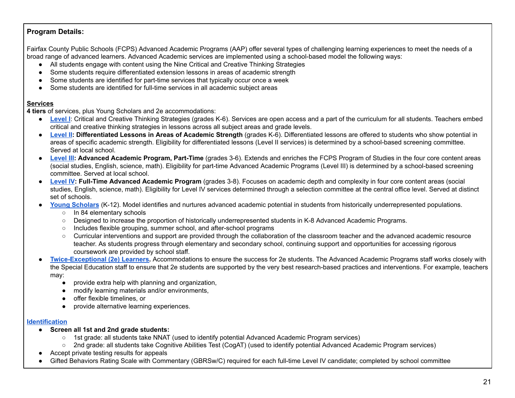# **Program Details:**

 Fairfax County Public Schools (FCPS) Advanced Academic Programs (AAP) offer several types of challenging learning experiences to meet the needs of a broad range of advanced learners. Advanced Academic services are implemented using a school-based model the following ways:

- All students engage with content using the Nine Critical and Creative Thinking Strategies
- Some students require differentiated extension lessons in areas of academic strength
- Some students are identified for part-time services that typically occur once a week
- Some students are identified for full-time services in all academic subject areas

# **Services**

 **4 tiers** of services, plus Young Scholars and 2e accommodations:

- [Level](https://www.fcps.edu/academics/elementary-school-academics-k-6/advanced-academics/critical-and-creative-thinking) I: Critical and Creative Thinking Strategies (grades K-6). Services are open access and a part of the curriculum for all students. Teachers embed critical and creative thinking strategies in lessons across all subject areas and grade levels.
- **[Level](https://www.fcps.edu/academics/elementary-school-academics-k-6/advanced-academics/differentiated-lessons-areas-academic) II: Differentiated Lessons in Areas of Academic Strength** (grades K-6). Differentiated lessons are offered to students who show potential in areas of specific academic strength. Eligibility for differentiated lessons (Level II services) is determined by a school-based screening committee. Served at local school.
- **[Level](https://www.fcps.edu/academics/elementary-school-academics-k-6/advanced-academics/part-time-advanced-academic-program) III: Advanced Academic Program, Part-Time** (grades 3-6). Extends and enriches the FCPS Program of Studies in the four core content areas (social studies, English, science, math). Eligibility for part-time Advanced Academic Programs (Level III) is determined by a school-based screening committee. Served at local school.
- **[Level](https://www.fcps.edu/academics/elementary-school-academics-k-6/advanced-academics/full-time-advanced-academic-program) IV: Full-Time Advanced Academic Program** (grades 3-8). Focuses on academic depth and complexity in four core content areas (social studies, English, science, math). Eligibility for Level IV services determined through a selection committee at the central office level. Served at distinct set of schools.
- **Young [Scholars](https://www.fcps.edu/academics/elementary-school-academics/k-6advanced-academics/young-scholars-k-12)** (K-12). Model identifies and nurtures advanced academic potential in students from historically underrepresented populations.
	- o In 84 elementary schools
	- Designed to increase the proportion of historically underrepresented students in K-8 Advanced Academic Programs.
	- Includes flexible grouping, summer school, and after-school programs
	- Curricular interventions and support are provided through the collaboration of the classroom teacher and the advanced academic resource teacher. As students progress through elementary and secondary school, continuing support and opportunities for accessing rigorous coursework are provided by school staff.
- **[Twice-Exceptional](https://www.fcps.edu/node/33071) (2e) Learners.** Accommodations to ensure the success for 2e students. The Advanced Academic Programs staff works closely with the Special Education staff to ensure that 2e students are supported by the very best research-based practices and interventions. For example, teachers may:
	- provide extra help with planning and organization,
	- modify learning materials and/or environments,
	- offer flexible timelines, or
	- provide alternative learning experiences.

# **[Identification](https://www.fcps.edu/registration/advanced-academics-identification-and-placement/current-fcps-students)**

- **● Screen all 1st and 2nd grade students:**
	- 1st grade: all students take NNAT (used to identify potential Advanced Academic Program services)
	- 2nd grade: all students take Cognitive Abilities Test (CogAT) (used to identify potential Advanced Academic Program services)
- Accept private testing results for appeals
- Gifted Behaviors Rating Scale with Commentary (GBRSw/C) required for each full-time Level IV candidate; completed by school committee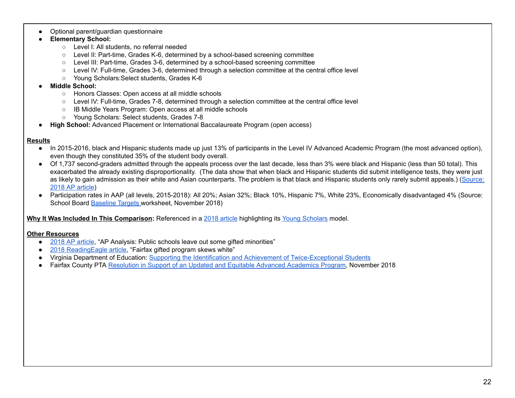Optional parent/guardian questionnaire

#### **● Elementary School:**

- Level I: All students, no referral needed
- Level II: Part-time, Grades K-6, determined by a school-based screening committee
- Level III: Part-time, Grades 3-6, determined by a school-based screening committee
- Level IV: Full-time, Grades 3-6, determined through a selection committee at the central office level
- Young Scholars:Select students, Grades K-6

#### **● Middle School:**

- Honors Classes: Open access at all middle schools
- Level IV: Full-time, Grades 7-8, determined through a selection committee at the central office level
- IB Middle Years Program: Open access at all middle schools
- Young Scholars: Select students, Grades 7-8
- **High School:** Advanced Placement or International Baccalaureate Program (open access)

#### **Results**

- In 2015-2016, black and Hispanic students made up just 13% of participants in the Level IV Advanced Academic Program (the most advanced option), even though they constituted 35% of the student body overall.
- Of 1,737 second-graders admitted through the appeals process over the last decade, less than 3% were black and Hispanic (less than 50 total). This exacerbated the already existing disproportionality. (The data show that when black and Hispanic students did submit intelligence tests, they were just as likely to gain admission as their white and Asian counterparts. The problem is that black and Hispanic students only rarely submit appeals.) (<u>Source:</u> 2018 AP [article](https://www.readingeagle.com/apps/pbcs.dll/article?AID=/20180203/AP/302039576))
- Participation rates in AAP (all levels, 2015-2018): All 20%; Asian 32%; Black 10%, Hispanic 7%, White 23%, Economically disadvantaged 4% (Source: School Board **[Baseline](https://www.boarddocs.com/vsba/fairfax/Board.nsf/files/B6KS6A711EC3/$file/Baseline%20Targets%20worksheet.pdf) Targets worksheet, November 2018**)

 **Why It Was Included In This Comparison:** Referenced in a 2018 [article](https://www.readingeagle.com/apps/pbcs.dll/article?AID=/20180203/AP/302039576) highlighting its Young [Scholars](https://www.fcps.edu/academicselementary-school-academics-k-6advanced-academics/young-scholars-k-12) model.

#### **Other Resources**

- 2018 AP [article](https://www.apnews.com/79ea08e45d0a400a97f458bc2e4a4f95), "AP Analysis: Public schools leave out some gifted minorities"
- 2018 [ReadingEagle](https://www.readingeagle.com/apps/pbcs.dll/article?AID=/20180203/AP/302039576) article, "Fairfax gifted program skews white"
- Virginia Department of Education: Supporting the Identification and Achievement of [Twice-Exceptional](http://www.doe.virginia.gov/instruction/gifted_ed/twice_exceptional.pdf) Students
- Fairfax County PTA Resolution in Support of an Updated and Equitable Advanced [Academics](http://www.fccpta.org/aap-resolution/) Program, November 2018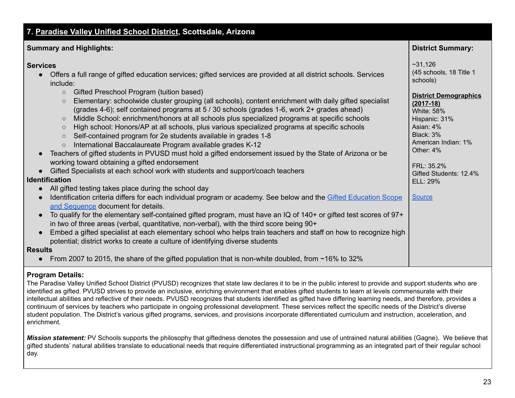<span id="page-22-0"></span>

| 7. Paradise Valley Unified School District, Scottsdale, Arizona                                                                                                                                                                                                                                                                                                                                                                                                                                                                                                                                                                                                                                                                                                                                                                                                                                                                                                                                                                                                                                                                                                                                                                                                                                                                                                                                                                                                                                                                                                                                                                                                                                                                                                                                                                                                                                                                                  |                                                                                                                                                                                                                                                                         |  |  |  |
|--------------------------------------------------------------------------------------------------------------------------------------------------------------------------------------------------------------------------------------------------------------------------------------------------------------------------------------------------------------------------------------------------------------------------------------------------------------------------------------------------------------------------------------------------------------------------------------------------------------------------------------------------------------------------------------------------------------------------------------------------------------------------------------------------------------------------------------------------------------------------------------------------------------------------------------------------------------------------------------------------------------------------------------------------------------------------------------------------------------------------------------------------------------------------------------------------------------------------------------------------------------------------------------------------------------------------------------------------------------------------------------------------------------------------------------------------------------------------------------------------------------------------------------------------------------------------------------------------------------------------------------------------------------------------------------------------------------------------------------------------------------------------------------------------------------------------------------------------------------------------------------------------------------------------------------------------|-------------------------------------------------------------------------------------------------------------------------------------------------------------------------------------------------------------------------------------------------------------------------|--|--|--|
| <b>Summary and Highlights:</b>                                                                                                                                                                                                                                                                                                                                                                                                                                                                                                                                                                                                                                                                                                                                                                                                                                                                                                                                                                                                                                                                                                                                                                                                                                                                                                                                                                                                                                                                                                                                                                                                                                                                                                                                                                                                                                                                                                                   | <b>District Summary:</b>                                                                                                                                                                                                                                                |  |  |  |
| <b>Services</b><br>Offers a full range of gifted education services; gifted services are provided at all district schools. Services<br>$\bullet$<br>include:<br>Gifted Preschool Program (tuition based)<br>$\circ$<br>Elementary: schoolwide cluster grouping (all schools), content enrichment with daily gifted specialist<br>$\circ$<br>(grades 4-6); self contained programs at 5 / 30 schools (grades 1-6, work 2+ grades ahead)<br>Middle School: enrichment/honors at all schools plus specialized programs at specific schools<br>$\circ$<br>High school: Honors/AP at all schools, plus various specialized programs at specific schools<br>$\bigcirc$<br>Self-contained program for 2e students available in grades 1-8<br>$\circ$<br>International Baccalaureate Program available grades K-12<br>$\circ$<br>Teachers of gifted students in PVUSD must hold a gifted endorsement issued by the State of Arizona or be<br>working toward obtaining a gifted endorsement<br>Gifted Specialists at each school work with students and support/coach teachers<br>$\bullet$<br><b>Identification</b><br>All gifted testing takes place during the school day<br>$\bullet$<br>Identification criteria differs for each individual program or academy. See below and the Gifted Education Scope<br>$\bullet$<br>and Sequence document for details.<br>To qualify for the elementary self-contained gifted program, must have an IQ of 140+ or gifted test scores of 97+<br>$\bullet$<br>in two of three areas (verbal, quantitative, non-verbal), with the third score being 90+<br>Embed a gifted specialist at each elementary school who helps train teachers and staff on how to recognize high<br>$\bullet$<br>potential; district works to create a culture of identifying diverse students<br><b>Results</b><br>From 2007 to 2015, the share of the gifted population that is non-white doubled, from $\sim$ 16% to 32%<br>$\bullet$ | ~231,126<br>(45 schools, 18 Title 1<br>schools)<br><b>District Demographics</b><br>$(2017-18)$<br><b>White: 58%</b><br>Hispanic: 31%<br>Asian: 4%<br>Black: 3%<br>American Indian: 1%<br>Other: 4%<br>FRL: 35.2%<br>Gifted Students: 12.4%<br>ELL: 29%<br><b>Source</b> |  |  |  |

# **Program Details:**

 The Paradise Valley Unified School District (PVUSD) recognizes that state law declares it to be in the public interest to provide and support students who are identified as gifted. PVUSD strives to provide an inclusive, enriching environment that enables gifted students to learn at levels commensurate with their intellectual abilities and reflective of their needs. PVUSD recognizes that students identified as gifted have differing learning needs, and therefore, provides a continuum of services by teachers who participate in ongoing professional development. These services reflect the specific needs of the District's diverse student population. The District's various gifted programs, services, and provisions incorporate differentiated curriculum and instruction, acceleration, and enrichment.

*Mission statement:* PV Schools supports the philosophy that giftedness denotes the possession and use of untrained natural abilities (Gagne). We believe that gifted students' natural abilities translate to educational needs that require differentiated instructional programming as an integrated part of their regular school day.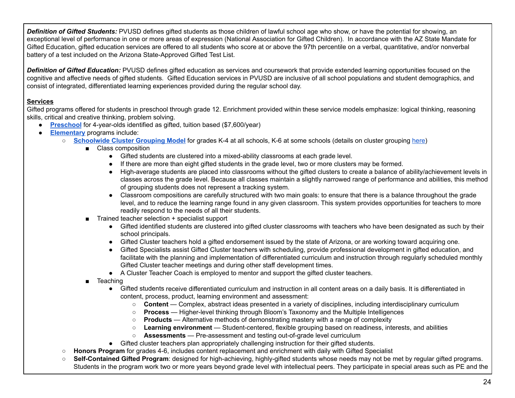*Definition of Gifted Students:* PVUSD defines gifted students as those children of lawful school age who show, or have the potential for showing, an exceptional level of performance in one or more areas of expression (National Association for Gifted Children). In accordance with the AZ State Mandate for Gifted Education, gifted education services are offered to all students who score at or above the 97th percentile on a verbal, quantitative, and/or nonverbal battery of a test included on the Arizona State-Approved Gifted Test List.

 *Definition of Gifted Education:* PVUSD defines gifted education as services and coursework that provide extended learning opportunities focused on the cognitive and affective needs of gifted students. Gifted Education services in PVUSD are inclusive of all school populations and student demographics, and consist of integrated, differentiated learning experiences provided during the regular school day.

# **Services**

 Gifted programs offered for students in preschool through grade 12. Enrichment provided within these service models emphasize: logical thinking, reasoning skills, critical and creative thinking, problem solving.

- **[Preschool](https://www.pvschools.net/cms/lib/AZ01902189/Centricity/Domain/74/Gifted%20Preschool%20Flyer.pdf)** for 4-year-olds identified as gifted, tuition based (\$7,600/year)
- ● **[Elementary](https://www.pvschools.net//site/Default.aspx?PageID=146)** programs include:
	- **<u>[Schoolwide](https://www.pvschools.net/Page/4377) Cluster Grouping Model</u> f**or grades K-4 at all schools, K-6 at some schools (details on cluster grouping <u>here</u>)
		- Class composition
			- Gifted students are clustered into a mixed-ability classrooms at each grade level.
			- If there are more than eight gifted students in the grade level, two or more clusters may be formed.
			- ● High-average students are placed into classrooms without the gifted clusters to create a balance of ability/achievement levels in classes across the grade level. Because all classes maintain a slightly narrowed range of performance and abilities, this method of grouping students does not represent a tracking system.
			- ● Classroom compositions are carefully structured with two main goals: to ensure that there is a balance throughout the grade level, and to reduce the learning range found in any given classroom. This system provides opportunities for teachers to more readily respond to the needs of all their students.
		- Trained teacher selection + specialist support
			- ● Gifted identified students are clustered into gifted cluster classrooms with teachers who have been designated as such by their school principals.
			- Gifted Cluster teachers hold a gifted endorsement issued by the state of Arizona, or are working toward acquiring one.
			- ● Gifted Specialists assist Gifted Cluster teachers with scheduling, provide professional development in gifted education, and facilitate with the planning and implementation of differentiated curriculum and instruction through regularly scheduled monthly Gifted Cluster teacher meetings and during other staff development times.
			- A Cluster Teacher Coach is employed to mentor and support the gifted cluster teachers.
		- ■ Teaching
			- ● Gifted students receive differentiated curriculum and instruction in all content areas on a daily basis. It is differentiated in content, process, product, learning environment and assessment:
				- **Content** Complex, abstract ideas presented in a variety of disciplines, including interdisciplinary curriculum
				- **Process** Higher-level thinking through Bloom's Taxonomy and the Multiple Intelligences
				- **Products** Alternative methods of demonstrating mastery with a range of complexity
				- **Learning environment** Student-centered, flexible grouping based on readiness, interests, and abilities
				- **Assessments** Pre-assessment and testing out-of-grade level curriculum
			- Gifted cluster teachers plan appropriately challenging instruction for their gifted students.
	- **Honors Program** for grades 4-6, includes content replacement and enrichment with daily with Gifted Specialist
	- **Self-Contained Gifted Program**: designed for high-achieving, highly-gifted students whose needs may not be met by regular gifted programs. Students in the program work two or more years beyond grade level with intellectual peers. They participate in special areas such as PE and the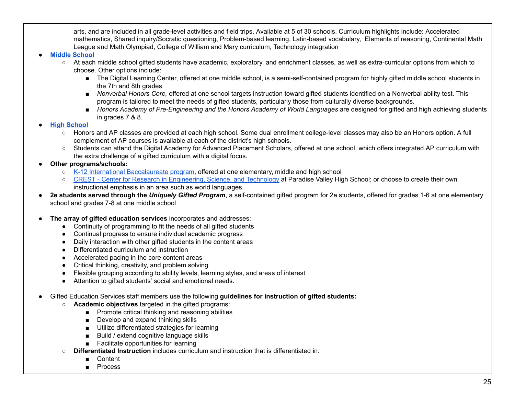arts, and are included in all grade-level activities and field trips. Available at 5 of 30 schools. Curriculum highlights include: Accelerated mathematics, Shared inquiry/Socratic questioning, Problem-based learning, Latin-based vocabulary, Elements of reasoning, Continental Math League and Math Olympiad, College of William and Mary curriculum, Technology integration

#### ● **Middle [School](https://www.pvschools.net//site/Default.aspx?PageID=144)**

- At each middle school gifted students have academic, exploratory, and enrichment classes, as well as extra-curricular options from which to choose. Other options include:
	- ■ The Digital Learning Center, offered at one middle school, is a semi-self-contained program for highly gifted middle school students in the 7th and 8th grades
	- *Nonverbal Honors Core,* offered at one school targets instruction toward gifted students identified on a Nonverbal ability test. This program is tailored to meet the needs of gifted students, particularly those from culturally diverse backgrounds.
	- *Honors Academy of Pre-Engineering and the Honors Academy of World Languages are designed for gifted and high achieving students* in grades 7 & 8.

#### ● **High [School](https://www.pvschools.net//site/Default.aspx?PageID=145)**

- Honors and AP classes are provided at each high school. Some dual enrollment college-level classes may also be an Honors option. A full complement of AP courses is available at each of the district's high schools.
- Students can attend the Digital Academy for Advanced Placement Scholars, offered at one school, which offers integrated AP curriculum with the extra challenge of a gifted curriculum with a digital focus.

# **● Other programs/schools:**

- K-12 International [Baccalaureate](https://www.pvschools.net/Page/5514) program, offered at one elementary, middle and high school
- CREST Center for Research in [Engineering,](https://www.pvschools.net/site/Default.aspx?PageID=3824) Science, and Technology at Paradise Valley High School; or choose to create their own instructional emphasis in an area such as world languages.
- **2e students served through the** *Uniquely Gifted Program*, a self-contained gifted program for 2e students, offered for grades 1-6 at one elementary school and grades 7-8 at one middle school

#### ● **The array of gifted education services** incorporates and addresses:

- Continuity of programming to fit the needs of all gifted students
- Continual progress to ensure individual academic progress
- Daily interaction with other gifted students in the content areas
- Differentiated curriculum and instruction
- Accelerated pacing in the core content areas
- Critical thinking, creativity, and problem solving
- Flexible grouping according to ability levels, learning styles, and areas of interest
- Attention to gifted students' social and emotional needs.
- ● Gifted Education Services staff members use the following **guidelines for instruction of gifted students:**
	- **Academic objectives** targeted in the gifted programs:
		- Promote critical thinking and reasoning abilities
		- Develop and expand thinking skills
		- Utilize differentiated strategies for learning
		- Build / extend cognitive language skills
		- Facilitate opportunities for learning
	- ○ **Differentiated Instruction** includes curriculum and instruction that is differentiated in:
		- **Content**
		- Process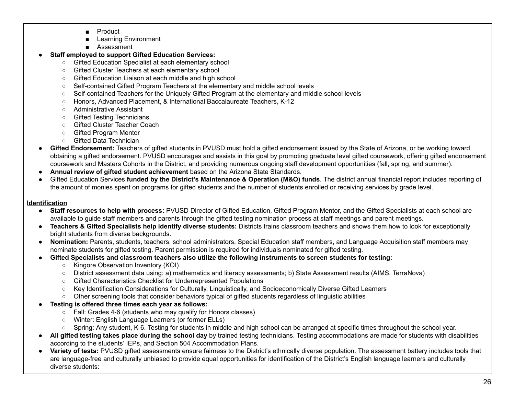- **Product**
- **Learning Environment**
- Assessment

# **● Staff employed to support Gifted Education Services:**

- Gifted Education Specialist at each elementary school
- Gifted Cluster Teachers at each elementary school
- Gifted Education Liaison at each middle and high school
- Self-contained Gifted Program Teachers at the elementary and middle school levels
- Self-contained Teachers for the Uniquely Gifted Program at the elementary and middle school levels
- Honors, Advanced Placement, & International Baccalaureate Teachers, K-12
- Administrative Assistant
- Gifted Testing Technicians
- Gifted Cluster Teacher Coach
- Gifted Program Mentor
- Gifted Data Technician
- **Gifted Endorsement:** Teachers of gifted students in PVUSD must hold a gifted endorsement issued by the State of Arizona, or be working toward obtaining a gifted endorsement. PVUSD encourages and assists in this goal by promoting graduate level gifted coursework, offering gifted endorsement coursework and Masters Cohorts in the District, and providing numerous ongoing staff development opportunities (fall, spring, and summer).
- **Annual review of gifted student achievement** based on the Arizona State Standards.
- ● Gifted Education Services **funded by the District's Maintenance & Operation (M&O) funds**. The district annual financial report includes reporting of the amount of monies spent on programs for gifted students and the number of students enrolled or receiving services by grade level.

# **Identification**

- **Staff resources to help with process:** PVUSD Director of Gifted Education, Gifted Program Mentor, and the Gifted Specialists at each school are available to guide staff members and parents through the gifted testing nomination process at staff meetings and parent meetings.
- **Teachers & Gifted Specialists help identify diverse students:** Districts trains classroom teachers and shows them how to look for exceptionally bright students from diverse backgrounds.
- **Nomination:** Parents, students, teachers, school administrators, Special Education staff members, and Language Acquisition staff members may nominate students for gifted testing. Parent permission is required for individuals nominated for gifted testing.
- Gifted Specialists and classroom teachers also utilize the following instruments to screen students for testing:
	- Kingore Observation Inventory (KOI)
	- District assessment data using: a) mathematics and literacy assessments; b) State Assessment results (AIMS, TerraNova)
	- Gifted Characteristics Checklist for Underrepresented Populations
	- Key Identification Considerations for Culturally, Linguistically, and Socioeconomically Diverse Gifted Learners
	- Other screening tools that consider behaviors typical of gifted students regardless of linguistic abilities
- **Testing is offered three times each year as follows:**
	- Fall: Grades 4-6 (students who may qualify for Honors classes)
	- Winter: English Language Learners (or former ELLs)
	- Spring: Any student, K-6. Testing for students in middle and high school can be arranged at specific times throughout the school year.
- **All gifted testing takes place during the school day** by trained testing technicians. Testing accommodations are made for students with disabilities according to the students' IEPs, and Section 504 Accommodation Plans.
- **Variety of tests:** PVUSD gifted assessments ensure fairness to the District's ethnically diverse population. The assessment battery includes tools that are language-free and culturally unbiased to provide equal opportunities for identification of the District's English language learners and culturally diverse students: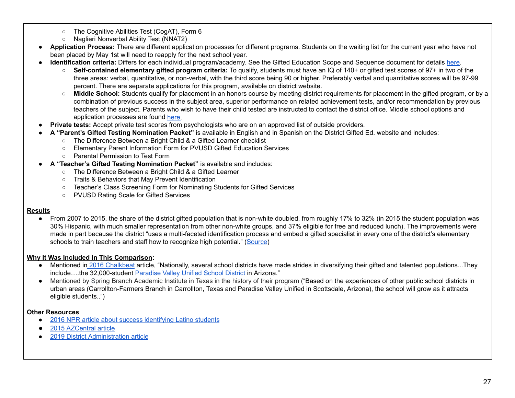- The Cognitive Abilities Test (CogAT), Form 6
- Naglieri Nonverbal Ability Test (NNAT2)
- **Application Process:** There are different application processes for different programs. Students on the waiting list for the current year who have not been placed by May 1st will need to reapply for the next school year.
- **Identification criteria:** Differs for each individual program/academy. See the Gifted Education Scope and Sequence document for details [here](https://www.pvschools.net/cms/lib/AZ01902189/Centricity/Domain/74/gifted-scope-sequence.pdf).
	- **Self-contained elementary gifted program criteria:** To qualify, students must have an IQ of 140+ or gifted test scores of 97+ in two of the three areas: verbal, quantitative, or non-verbal, with the third score being 90 or higher. Preferably verbal and quantitative scores will be 97-99 percent. There are separate applications for this program, available on district website.
	- **Middle School:** Students qualify for placement in an honors course by meeting district requirements for placement in the gifted program, or by a combination of previous success in the subject area, superior performance on related achievement tests, and/or recommendation by previous teachers of the subject. Parents who wish to have their child tested are instructed to contact the district office. Middle school options and application processes are found [here.](https://docs.google.com/viewerng/viewer?url=https://www.pvschools.net//cms/lib/AZ01902189/Centricity/Domain/74/Middle+School+Program+Options.pdf)
- **Private tests:** Accept private test scores from psychologists who are on an approved list of outside providers.
- **A "Parent's Gifted Testing Nomination Packet"** is available in English and in Spanish on the District Gifted Ed. website and includes:
	- The Difference Between a Bright Child & a Gifted Learner checklist
	- Elementary Parent Information Form for PVUSD Gifted Education Services
	- Parental Permission to Test Form
- **A "Teacher's Gifted Testing Nomination Packet"** is available and includes:
	- The Difference Between a Bright Child & a Gifted Learner
	- Traits & Behaviors that May Prevent Identification
	- Teacher's Class Screening Form for Nominating Students for Gifted Services
	- PVUSD Rating Scale for Gifted Services

# **Results**

● From 2007 to 2015, the share of the district gifted population that is non-white doubled, from roughly 17% to 32% (in 2015 the student population was 30% Hispanic, with much smaller representation from other non-white groups, and 37% eligible for free and reduced lunch). The improvements were made in part because the district "uses a multi-faceted identification process and embed a gifted specialist in every one of the district's elementary schools to train teachers and staff how to recognize high potential." (<u>[Source](https://www.azcentral.com/story/news/local/phoenix/education/2015/11/12/dont-let-arizona-gifted-students-fall-through-cracks/75625318/)</u>)

# **Why It Was Included In This Comparison:**

- Mentioned in 2016 [Chalkbeat](https://www.chalkbeat.org/posts/co/2016/05/26/dps-takes-steps-to-get-more-students-of-color-into-magnet-programs-for-the-highly-gifted/) article, "Nationally, several school districts have made strides in diversifying their gifted and talented populations...They include….the32,000-student <u>[Paradise](http://www.npr.org/sections/ed/2016/03/31/472528190/the-rare-district-that-recognizes-gifted-latino-students) Valley Unified School District</u> in Arizona."
- Mentioned by Spring Branch Academic Institute in Texas in the history of their program ("Based on the experiences of other public school districts in urban areas (Carrollton-Farmers Branch in Carrollton, Texas and Paradise Valley Unified in Scottsdale, Arizona), the school will grow as it attracts eligible students..")

# **Other Resources**

- 2016 NPR article about success [identifying](https://www.npr.org/sections/ed/2016/03/31/472528190/the-rare-district-that-recognizes-gifted-latino-students) Latino students
- **●** 2015 [AZCentral](https://www.azcentral.com/story/news/local/phoenix/education/2015/11/12/dont-let-arizona-gifted-students-fall-through-cracks/75625318/) article
- 2019 District [Administration](https://districtadministration.com/gifted-and-talented-diversification-potential/) article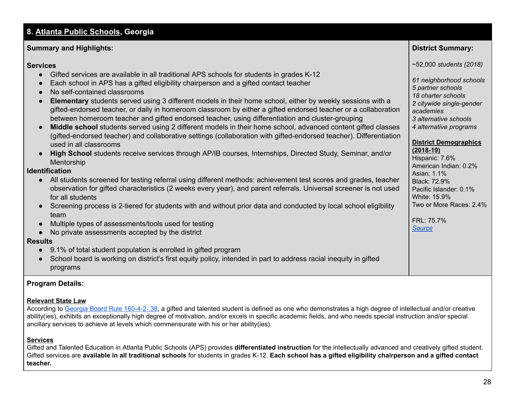# <span id="page-27-0"></span>**8. [Atlanta Public Schools](https://www.atlantapublicschools.us/gifted) , Georgia**

#### **Summary and Highlights: District Summary:**

#### **Services** ~52,000 *students (2018)*

- Gifted services are available in all traditional APS schools for students in grades K-12
- Each school in APS has a gifted eligibility chairperson and a gifted contact teacher
- No self-contained classrooms
- **● Elementary** students served using 3 different models in their home school, either by weekly sessions with a *<sup>2</sup> citywide single-gender* gifted-endorsed teacher, or daily in homeroom classroom by either <sup>a</sup> gifted endorsed teacher or <sup>a</sup> collaboration *academies* between homeroom teacher and gifted endorsed teacher, using differentiation and cluster-grouping *3 alternative schools*
- **Middle school** students served using 2 different models in their home school, advanced content gifted classes *4 alternative programs* (gifted-endorsed teacher) and collaborative settings (collaboration with gifted-endorsed teacher). Differentiation used in all classrooms
- **High School** students receive services through AP/IB courses, Internships, Directed Study, Seminar, and/or **Mentorship**

**Identification**

- $\bullet$  All students screened for testing referral using different methods: achievement test scores and grades, teacher  $\,$  Black: 72.9% observation for gifted characteristics (2 weeks every year), and parent referrals. Universal screener is not used  $\; \; \mid$  Pacific Islander: 0.1% for all students for all students  $\vert$  . White: 15.9%  $\vert$
- Screening process is 2-tiered for students with and without prior data and conducted by local school eligibility | Two or More Races: 2.4% team
- Multiple types of assessments/tools used for testing
- No private assessments accepted by the district

# **Results**

- 9.1% of total student population is enrolled in gifted program
- ● School board is working on district's first equity policy, intended in part to address racial inequity in gifted programs

# **Program Details:**

# **Relevant State Law**

According to <u>Georgia Board Rule [160-4-2-.38](https://www.gadoe.org/External-Affairs-and-Policy/State-Board-of-Education/SBOE%20Rules/160-4-2-.38.pdf),</u> a gifted and talented student is defined as one who demonstrates a high degree of intellectual and/or creative ability(ies), exhibits an exceptionally high degree of motivation, and/or excels in specific academic fields, and who needs special instruction and/or special ancillary services to achieve at levels which commensurate with his or her ability(ies).

# **Services**

 Gifted and Talented Education in Atlanta Public Schools (APS) provides **differentiated instruction** for the intellectually advanced and creatively gifted student. Gifted services are available in all traditional schools for students in grades K-12. Each school has a gifted eligibility chairperson and a gifted contact **teacher.**

**District Summary:** 

 *61 neighborhood schools*

 *5 partner schools 18 charter schools* 2 citywide single-gender

3 alternative schools 4 alternative programs

American Indian: 0.2%

**District Demographics**

Pacific Islander: 0.1%

Two or More Races: 2.4%

Hispanic: 7.6%

 Asian; 1.1% Black: 72.9%

**(2018-19)**

White: 15.9%

FRL: 75.7%

*[Source](https://www.atlantapublicschools.us/Page/48363)*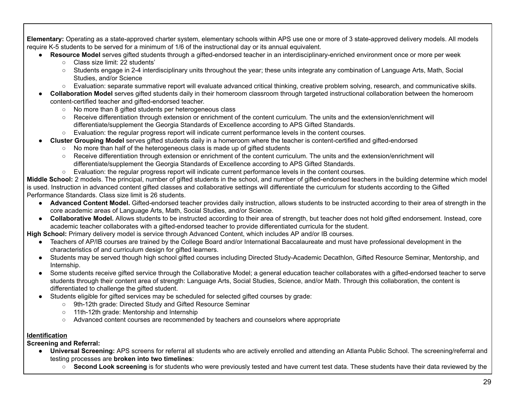**Elementary:** Operating as a state-approved charter system, elementary schools within APS use one or more of 3 state-approved delivery models. All models require K-5 students to be served for a minimum of 1/6 of the instructional day or its annual equivalent.

- **Resource Model** serves gifted students through a gifted-endorsed teacher in an interdisciplinary-enriched environment once or more per week
	- Class size limit: 22 students'
	- ○ Students engage in 2-4 interdisciplinary units throughout the year; these units integrate any combination of Language Arts, Math, Social Studies, and/or Science
	- Evaluation: separate summative report will evaluate advanced critical thinking, creative problem solving, research, and communicative skills.
- **Collaboration Model** serves gifted students daily in their homeroom classroom through targeted instructional collaboration between the homeroom content-certified teacher and gifted-endorsed teacher.
	- No more than 8 gifted students per heterogeneous class
	- Receive differentiation through extension or enrichment of the content curriculum. The units and the extension/enrichment will differentiate/supplement the Georgia Standards of Excellence according to APS Gifted Standards.
	- Evaluation: the regular progress report will indicate current performance levels in the content courses.
- **Cluster Grouping Model** serves gifted students daily in a homeroom where the teacher is content-certified and gifted-endorsed
	- No more than half of the heterogeneous class is made up of gifted students
	- Receive differentiation through extension or enrichment of the content curriculum. The units and the extension/enrichment will differentiate/supplement the Georgia Standards of Excellence according to APS Gifted Standards.
	- Evaluation: the regular progress report will indicate current performance levels in the content courses.

 **Middle School:** 2 models. The principal, number of gifted students in the school, and number of gifted-endorsed teachers in the building determine which model is used. Instruction in advanced content gifted classes and collaborative settings will differentiate the curriculum for students according to the Gifted Performance Standards. Class size limit is 26 students.

- **Advanced Content Model.** Gifted-endorsed teacher provides daily instruction, allows students to be instructed according to their area of strength in the core academic areas of Language Arts, Math, Social Studies, and/or Science.
- **Collaborative Model.** Allows students to be instructed according to their area of strength, but teacher does not hold gifted endorsement. Instead, core academic teacher collaborates with a gifted-endorsed teacher to provide differentiated curricula for the student.

 **High School:** Primary delivery model is service through Advanced Content, which includes AP and/or IB courses.

- ● Teachers of AP/IB courses are trained by the College Board and/or International Baccalaureate and must have professional development in the characteristics of and curriculum design for gifted learners.
- ● Students may be served though high school gifted courses including Directed Study-Academic Decathlon, Gifted Resource Seminar, Mentorship, and Internship.
- ● Some students receive gifted service through the Collaborative Model; a general education teacher collaborates with a gifted-endorsed teacher to serve students through their content area of strength: Language Arts, Social Studies, Science, and/or Math. Through this collaboration, the content is differentiated to challenge the gifted student.
- ● Students eligible for gifted services may be scheduled for selected gifted courses by grade:
	- 9th-12th grade: Directed Study and Gifted Resource Seminar
	- 11th-12th grade: Mentorship and Internship
	- Advanced content courses are recommended by teachers and counselors where appropriate

# **Identification**

 **Screening and Referral:**

- ● **Universal Screening:** APS screens for referral all students who are actively enrolled and attending an Atlanta Public School. The screening/referral and testing processes are **broken into two timelines**:
	- **Second Look screening** is for students who were previously tested and have current test data. These students have their data reviewed by the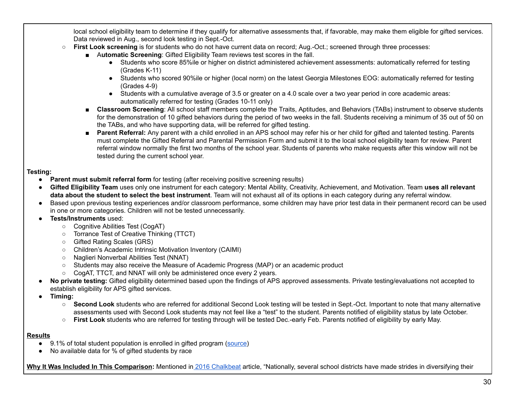local school eligibility team to determine if they qualify for alternative assessments that, if favorable, may make them eligible for gifted services. Data reviewed in Aug., second look testing in Sept.-Oct.

- **First Look screening** is for students who do not have current data on record; Aug.-Oct.; screened through three processes:
	- Automatic Screening: Gifted Eligibility Team reviews test scores in the fall.
		- ● Students who score 85%ile or higher on district administered achievement assessments: automatically referred for testing (Grades K-11)
		- ● Students who scored 90%ile or higher (local norm) on the latest Georgia Milestones EOG: automatically referred for testing (Grades 4-9)
		- ● Students with a cumulative average of 3.5 or greater on a 4.0 scale over a two year period in core academic areas: automatically referred for testing (Grades 10-11 only)
	- **Classroom Screening**: All school staff members complete the Traits, Aptitudes, and Behaviors (TABs) instrument to observe students for the demonstration of 10 gifted behaviors during the period of two weeks in the fall. Students receiving a minimum of 35 out of 50 on the TABs, and who have supporting data, will be referred for gifted testing.
	- **Parent Referral:** Any parent with a child enrolled in an APS school may refer his or her child for gifted and talented testing. Parents must complete the Gifted Referral and Parental Permission Form and submit it to the local school eligibility team for review. Parent referral window normally the first two months of the school year. Students of parents who make requests after this window will not be tested during the current school year.

# **Testing:**

- **Parent must submit referral form** for testing (after receiving positive screening results)
- **Gifted Eligibility Team** uses only one instrument for each category: Mental Ability, Creativity, Achievement, and Motivation. Team **uses all relevant data about the student to select the best instrument**. Team will not exhaust all of its options in each category during any referral window.
- ● Based upon previous testing experiences and/or classroom performance, some children may have prior test data in their permanent record can be used in one or more categories. Children will not be tested unnecessarily.
- **Tests/Instruments** used:
	- Cognitive Abilities Test (CogAT)
	- Torrance Test of Creative Thinking (TTCT)
	- Gifted Rating Scales (GRS)
	- Children's Academic Intrinsic Motivation Inventory (CAIMI)
	- Naglieri Nonverbal Abilities Test (NNAT)
	- Students may also receive the Measure of Academic Progress (MAP) or an academic product
	- CogAT, TTCT, and NNAT will only be administered once every 2 years.
- **No private testing:** Gifted eligibility determined based upon the findings of APS approved assessments. Private testing/evaluations not accepted to establish eligibility for APS gifted services.
- **● Timing:**
	- **Second Look** students who are referred for additional Second Look testing will be tested in Sept.-Oct. Important to note that many alternative assessments used with Second Look students may not feel like a "test" to the student. Parents notified of eligibility status by late October.
	- **First Look** students who are referred for testing through will be tested Dec.-early Feb. Parents notified of eligibility by early May.

# **Results**

- 9.1% of total student population is enrolled in gifted program ([source\)](https://gosa.georgia.gov/downloadable-data)
- No available data for % of gifted students by race

 **Why It Was Included In This Comparison:** Mentioned in 2016 [Chalkbeat](https://www.chalkbeat.org/posts/co/2016/05/26/dps-takes-steps-to-get-more-students-of-color-into-magnet-programs-for-the-highly-gifted/) article, "Nationally, several school districts have made strides in diversifying their